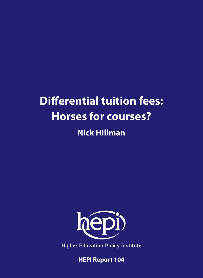# **Differential tuition fees: Horses for courses?**

# **Nick Hillman**



**Higher Education Policy Institute** 

**HEPI Report 104**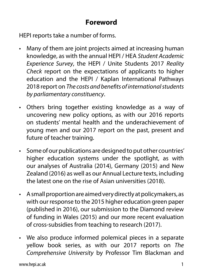# **Foreword**

HEPI reports take a number of forms.

- Many of them are joint projects aimed at increasing human knowledge, as with the annual HEPI / HEA *Student Academic Experience Survey*, the HEPI / Unite Students 2017 *Reality Check* report on the expectations of applicants to higher education and the HEPI / Kaplan International Pathways 2018 report on *The costs and benefits of international students by parliamentary constituency*.
- Others bring together existing knowledge as a way of uncovering new policy options, as with our 2016 reports on students' mental health and the underachievement of young men and our 2017 report on the past, present and future of teacher training.
- Some of our publications are designed to put other countries' higher education systems under the spotlight, as with our analyses of Australia (2014), Germany (2015) and New Zealand (2016) as well as our Annual Lecture texts, including the latest one on the rise of Asian universities (2018).
- A small proportion are aimed very directly at policymakers, as with our response to the 2015 higher education green paper (published in 2016), our submission to the Diamond review of funding in Wales (2015) and our more recent evaluation of cross-subsidies from teaching to research (2017).
- We also produce informed polemical pieces in a separate yellow book series, as with our 2017 reports on *The Comprehensive University* by Professor Tim Blackman and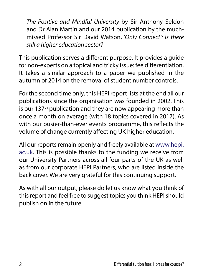*The Positive and Mindful University* by Sir Anthony Seldon and Dr Alan Martin and our 2014 publication by the muchmissed Professor Sir David Watson, '*Only Connect': Is there still a higher education sector?*

This publication serves a different purpose. It provides a guide for non-experts on a topical and tricky issue: fee differentiation. It takes a similar approach to a paper we published in the autumn of 2014 on the removal of student number controls.

For the second time only, this HEPI report lists at the end all our publications since the organisation was founded in 2002. This is our 137<sup>th</sup> publication and they are now appearing more than once a month on average (with 18 topics covered in 2017). As with our busier-than-ever events programme, this reflects the volume of change currently affecting UK higher education.

All our reports remain openly and freely available at [www.hepi.](http://www.hepi.ac.uk) [ac.uk.](http://www.hepi.ac.uk) This is possible thanks to the funding we receive from our University Partners across all four parts of the UK as well as from our corporate HEPI Partners, who are listed inside the back cover. We are very grateful for this continuing support.

As with all our output, please do let us know what you think of this report and feel free to suggest topics you think HEPI should publish on in the future.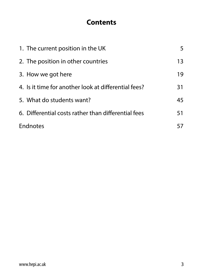# **Contents**

| 1. The current position in the UK                    | 5  |
|------------------------------------------------------|----|
| 2. The position in other countries                   | 13 |
| 3. How we got here                                   | 19 |
| 4. Is it time for another look at differential fees? | 31 |
| 5. What do students want?                            | 45 |
| 6. Differential costs rather than differential fees  | 51 |
| Endnotes                                             | 57 |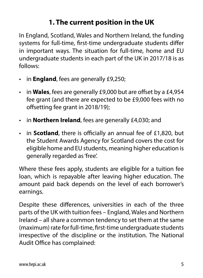# **1. The current position in the UK**

In England, Scotland, Wales and Northern Ireland, the funding systems for full-time, first-time undergraduate students differ in important ways. The situation for full-time, home and EU undergraduate students in each part of the UK in 2017/18 is as follows:

- in **England**, fees are generally £9,250;
- in **Wales**, fees are generally £9,000 but are offset by a £4,954 fee grant (and there are expected to be £9,000 fees with no offsetting fee grant in 2018/19);
- in **Northern Ireland**, fees are generally £4,030; and
- in **Scotland**, there is officially an annual fee of £1,820, but the Student Awards Agency for Scotland covers the cost for eligible home and EU students, meaning higher education is generally regarded as 'free'.

Where these fees apply, students are eligible for a tuition fee loan, which is repayable after leaving higher education. The amount paid back depends on the level of each borrower's earnings.

Despite these differences, universities in each of the three parts of the UK with tuition fees – England, Wales and Northern Ireland – all share a common tendency to set them at the same (maximum) rate for full-time, first-time undergraduate students irrespective of the discipline or the institution. The National Audit Office has complained: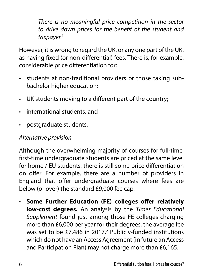*There is no meaningful price competition in the sector to drive down prices for the benefit of the student and taxpayer.*<sup>1</sup>

However, it is wrong to regard the UK, or any one part of the UK, as having fixed (or non-differential) fees. There is, for example, considerable price differentiation for:

- students at non-traditional providers or those taking subbachelor higher education;
- UK students moving to a different part of the country;
- international students; and
- postgraduate students.

#### *Alternative provision*

Although the overwhelming majority of courses for full-time, first-time undergraduate students are priced at the same level for home / EU students, there is still some price differentiation on offer. For example, there are a number of providers in England that offer undergraduate courses where fees are below (or over) the standard £9,000 fee cap.

• **Some Further Education (FE) colleges offer relatively low-cost degrees.** An analysis by the *Times Educational Supplement* found just among those FE colleges charging more than £6,000 per year for their degrees, the average fee was set to be  $£7,486$  in 2017.<sup>2</sup> Publicly-funded institutions which do not have an Access Agreement (in future an Access and Participation Plan) may not charge more than £6,165.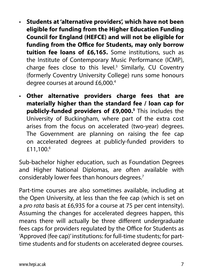- **Students at 'alternative providers', which have not been eligible for funding from the Higher Education Funding Council for England (HEFCE) and will not be eligible for funding from the Office for Students, may only borrow tuition fee loans of £6,165.** Some institutions, such as the Institute of Contemporary Music Performance (ICMP), charge fees close to this level. $3$  Similarly, CU Coventry (formerly Coventry University College) runs some honours degree courses at around £6,000.4
- **Other alternative providers charge fees that are materially higher than the standard fee / loan cap for publicly-funded providers of £9,000.5** This includes the University of Buckingham, where part of the extra cost arises from the focus on accelerated (two-year) degrees. The Government are planning on raising the fee cap on accelerated degrees at publicly-funded providers to £11,100.6

Sub-bachelor higher education, such as Foundation Degrees and Higher National Diplomas, are often available with considerably lower fees than honours degrees.7

Part-time courses are also sometimes available, including at the Open University, at less than the fee cap (which is set on a *pro rata* basis at £6,935 for a course at 75 per cent intensity). Assuming the changes for accelerated degrees happen, this means there will actually be three different undergraduate fees caps for providers regulated by the Office for Students as 'Approved (fee cap)' institutions: for full-time students; for parttime students and for students on accelerated degree courses.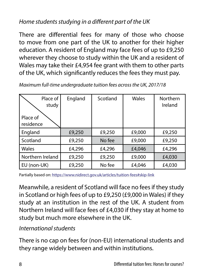## *Home students studying in a different part of the UK*

There are differential fees for many of those who choose to move from one part of the UK to another for their higher education. A resident of England may face fees of up to £9,250 wherever they choose to study within the UK and a resident of Wales may take their £4,954 fee grant with them to other parts of the UK, which significantly reduces the fees they must pay.

| Place of<br>study<br>Place of<br>residence | England | Scotland | <b>Wales</b> | Northern<br>Ireland |
|--------------------------------------------|---------|----------|--------------|---------------------|
| England                                    | £9,250  | £9,250   | £9,000       | £9,250              |
| Scotland                                   | £9,250  | No fee   | £9,000       | £9,250              |
| Wales                                      | £4,296  | £4,296   | £4,046       | £4,296              |
| Northern Ireland                           | £9,250  | £9,250   | £9,000       | £4,030              |
| EU (non-UK)                                | £9,250  | No fee   | £4,046       | £4,030              |

*Maximum full-time undergraduate tuition fees across the UK, 2017/18*

Partially based on: https://www.nidirect.gov.uk/articles/tuition-fees#skip-link

Meanwhile, a resident of Scotland will face no fees if they study in Scotland or high fees of up to £9,250 (£9,000 in Wales) if they study at an institution in the rest of the UK. A student from Northern Ireland will face fees of £4,030 if they stay at home to study but much more elsewhere in the UK.

#### *International students*

There is no cap on fees for (non-EU) international students and they range widely between and within institutions.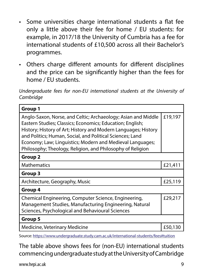- Some universities charge international students a flat fee only a little above their fee for home / EU students: for example, in 2017/18 the University of Cumbria has a fee for international students of £10,500 across all their Bachelor's programmes.
- Others charge different amounts for different disciplines and the price can be significantly higher than the fees for home / EU students.

*Undergraduate fees for non-EU international students at the University of Cambridge*

| Group 1                                                                                                                                                                                                                                                                                                                                                                              |         |
|--------------------------------------------------------------------------------------------------------------------------------------------------------------------------------------------------------------------------------------------------------------------------------------------------------------------------------------------------------------------------------------|---------|
| Anglo-Saxon, Norse, and Celtic; Archaeology; Asian and Middle<br>Eastern Studies; Classics; Economics; Education; English;<br>History; History of Art; History and Modern Languages; History<br>and Politics; Human, Social, and Political Sciences; Land<br>Economy; Law; Linguistics; Modern and Medieval Languages;<br>Philosophy; Theology, Religion, and Philosophy of Religion | £19,197 |
| Group 2                                                                                                                                                                                                                                                                                                                                                                              |         |
| <b>Mathematics</b>                                                                                                                                                                                                                                                                                                                                                                   | £21,411 |
| Group 3                                                                                                                                                                                                                                                                                                                                                                              |         |
| Architecture, Geography, Music                                                                                                                                                                                                                                                                                                                                                       | £25,119 |
| Group 4                                                                                                                                                                                                                                                                                                                                                                              |         |
| Chemical Engineering, Computer Science, Engineering,<br>Management Studies, Manufacturing Engineering, Natural<br>Sciences, Psychological and Behavioural Sciences                                                                                                                                                                                                                   | £29,217 |
| Group 5                                                                                                                                                                                                                                                                                                                                                                              |         |
| Medicine, Veterinary Medicine                                                                                                                                                                                                                                                                                                                                                        | £50,130 |

Source: https://www.undergraduate.study.cam.ac.uk/international-students/fees#tuition

The table above shows fees for (non-EU) international students commencing undergraduate study at the University of Cambridge

www.hepi.ac.uk 9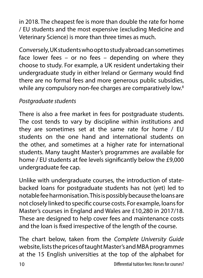in 2018. The cheapest fee is more than double the rate for home / EU students and the most expensive (excluding Medicine and Veterinary Science) is more than three times as much.

Conversely, UK students who opt to study abroad can sometimes face lower fees – or no fees – depending on where they choose to study. For example, a UK resident undertaking their undergraduate study in either Ireland or Germany would find there are no formal fees and more generous public subsidies, while any compulsory non-fee charges are comparatively low.<sup>8</sup>

## *Postgraduate students*

There is also a free market in fees for postgraduate students. The cost tends to vary by discipline within institutions and they are sometimes set at the same rate for home / EU students on the one hand and international students on the other, and sometimes at a higher rate for international students. Many taught Master's programmes are available for home / EU students at fee levels significantly below the £9,000 undergraduate fee cap.

Unlike with undergraduate courses, the introduction of statebacked loans for postgraduate students has not (yet) led to notable fee harmonisation. This is possibly because the loans are not closely linked to specific course costs. For example, loans for Master's courses in England and Wales are £10,280 in 2017/18. These are designed to help cover fees and maintenance costs and the loan is fixed irrespective of the length of the course.

The chart below, taken from the *Complete University Guide* website, lists the prices of taught Master's and MBA programmes at the 15 English universities at the top of the alphabet for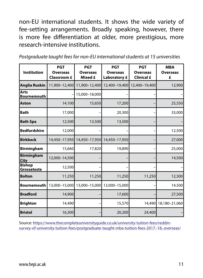non-EU international students. It shows the wide variety of fee-setting arrangements. Broadly speaking, however, there is more fee differentiation at older, more prestigious, more research-intensive institutions.

|  |  | Postgraduate taught fees for non-EU international students at 15 universities |
|--|--|-------------------------------------------------------------------------------|
|--|--|-------------------------------------------------------------------------------|

| <b>Institution</b>               | <b>PGT</b><br><b>Overseas</b><br><b>Classroom £</b> | <b>PGT</b><br><b>Overseas</b><br>Mixed £ | <b>PGT</b><br><b>Overseas</b><br><b>Laboratory £</b> | <b>PGT</b><br><b>Overseas</b><br><b>Clinical £</b> | <b>MBA</b><br><b>Overseas</b><br>£ |
|----------------------------------|-----------------------------------------------------|------------------------------------------|------------------------------------------------------|----------------------------------------------------|------------------------------------|
| <b>Anglia Ruskin</b>             | 11,900-12,400                                       | 11,900-12,400                            | 12,400-19,400                                        | 12,400-19,400                                      | 12,900                             |
| Arts<br><b>Bournemouth</b>       |                                                     | 15,000-18,000                            |                                                      |                                                    |                                    |
| <b>Aston</b>                     | 14,100                                              | 15,650                                   | 17,200                                               |                                                    | 25,550                             |
| Bath                             | 17,000                                              |                                          | 20,300                                               |                                                    | 33,000                             |
| <b>Bath Spa</b>                  | 12,500                                              | 13,500                                   | 13,500                                               |                                                    |                                    |
| <b>Bedfordshire</b>              | 12,000                                              |                                          |                                                      |                                                    | 12,500                             |
| <b>Birkbeck</b>                  | 14,450-17,950                                       | 14,450-17,950                            | 14,450-17,950                                        |                                                    | 27,000                             |
| <b>Birmingham</b>                | 15,660                                              | 17,820                                   | 19,890                                               |                                                    | 25,000                             |
| <b>Birmingham</b><br><b>City</b> | 12,000-14,500                                       |                                          |                                                      |                                                    | 14,500                             |
| <b>Bishop</b><br>Grosseteste     | 12,500                                              |                                          |                                                      |                                                    |                                    |
| <b>Bolton</b>                    | 11,250                                              | 11,250                                   | 11,250                                               | 11,250                                             | 12,500                             |
| <b>Bournemouth</b>               | 13,000-15,000                                       | 13,000-15,000                            | 13,000-15,000                                        |                                                    | 14,500                             |
| <b>Bradford</b>                  | 14,900                                              |                                          | 17,600                                               |                                                    | 27,500                             |
| <b>Brighton</b>                  | 14,490                                              |                                          | 15,570                                               | 14,490                                             | 18,180-21,060                      |
| <b>Bristol</b>                   | 16,300                                              |                                          | 20,200                                               | 24,400                                             |                                    |

Source: [https://www.thecompleteuniversityguide.co.uk/university-tuition-fees/reddin](https://www.thecompleteuniversityguide.co.uk/university-tuition-fees/reddin-survey-of-university-tuition-fees/postgraduate-taught-mba-tuition-fees-2017–18,-overseas/)[survey-of-university-tuition-fees/postgraduate-taught-mba-tuition-fees-2017–18,-overseas/](https://www.thecompleteuniversityguide.co.uk/university-tuition-fees/reddin-survey-of-university-tuition-fees/postgraduate-taught-mba-tuition-fees-2017–18,-overseas/)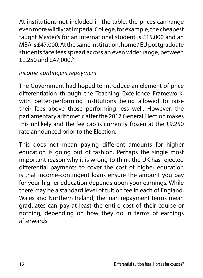At institutions not included in the table, the prices can range even more wildly: at Imperial College, for example, the cheapest taught Master's for an international student is £15,000 and an MBA is £47,000. At the same institution, home / EU postgraduate students face fees spread across an even wider range, between £9,250 and £47,000.9

#### *Income-contingent repayment*

The Government had hoped to introduce an element of price differentiation through the Teaching Excellence Framework, with better-performing institutions being allowed to raise their fees above those performing less well. However, the parliamentary arithmetic after the 2017 General Election makes this unlikely and the fee cap is currently frozen at the £9,250 rate announced prior to the Election.

This does not mean paying different amounts for higher education is going out of fashion. Perhaps the single most important reason why it is wrong to think the UK has rejected differential payments to cover the cost of higher education is that income-contingent loans ensure the amount you pay for your higher education depends upon your earnings. While there may be a standard level of tuition fee in each of England, Wales and Northern Ireland, the loan repayment terms mean graduates can pay at least the entire cost of their course or nothing, depending on how they do in terms of earnings afterwards.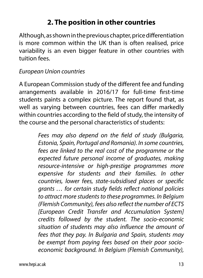# **2. The position in other countries**

Although, as shown in the previous chapter, price differentiation is more common within the UK than is often realised, price variability is an even bigger feature in other countries with tuition fees.

#### *European Union countries*

A European Commission study of the different fee and funding arrangements available in 2016/17 for full-time first-time students paints a complex picture. The report found that, as well as varying between countries, fees can differ markedly within countries according to the field of study, the intensity of the course and the personal characteristics of students:

> *Fees may also depend on the field of study (Bulgaria, Estonia, Spain, Portugal and Romania). In some countries, fees are linked to the real cost of the programme or the expected future personal income of graduates, making resource-intensive or high-prestige programmes more expensive for students and their families. In other countries, lower fees, state-subsidised places or specific grants … for certain study fields reflect national policies to attract more students to these programmes. In Belgium (Flemish Community), fees also reflect the number of ECTS [European Credit Transfer and Accumulation System] credits followed by the student. The socio-economic situation of students may also influence the amount of fees that they pay. In Bulgaria and Spain, students may be exempt from paying fees based on their poor socioeconomic background. In Belgium (Flemish Community),*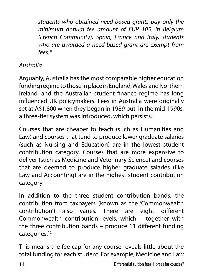*students who obtained need-based grants pay only the minimum annual fee amount of EUR 105. In Belgium (French Community), Spain, France and Italy, students who are awarded a need-based grant are exempt from fees.*<sup>10</sup>

## *Australia*

Arguably, Australia has the most comparable higher education funding regime to those in place in England, Wales and Northern Ireland, and the Australian student finance regime has long influenced UK policymakers. Fees in Australia were originally set at A\$1,800 when they began in 1989 but, in the mid-1990s, a three-tier system was introduced, which persists.<sup>11</sup>

Courses that are cheaper to teach (such as Humanities and Law) and courses that tend to produce lower graduate salaries (such as Nursing and Education) are in the lowest student contribution category. Courses that are more expensive to deliver (such as Medicine and Veterinary Science) and courses that are deemed to produce higher graduate salaries (like Law and Accounting) are in the highest student contribution category.

In addition to the three student contribution bands, the contribution from taxpayers (known as the 'Commonwealth contribution') also varies. There are eight different Commonwealth contribution levels, which – together with the three contribution bands – produce 11 different funding categories.12

This means the fee cap for any course reveals little about the total funding for each student. For example, Medicine and Law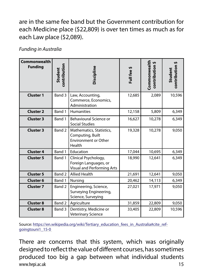are in the same fee band but the Government contribution for each Medicine place (\$22,809) is over ten times as much as for each Law place (\$2,089).

*Funding in Australia*

| <b>Commonwealth</b><br><b>Funding</b> | contribution<br>Student | Discipline                                                                            | Full fee \$ | Commonwealth<br>contribution \$ | contribution<br>Student |
|---------------------------------------|-------------------------|---------------------------------------------------------------------------------------|-------------|---------------------------------|-------------------------|
| <b>Cluster 1</b>                      | Band 3                  | Law, Accounting,<br>Commerce, Economics,<br>Administration                            | 12,685      | 2,089                           | 10,596                  |
| <b>Cluster 2</b>                      | Band 1                  | <b>Humanities</b>                                                                     | 12,158      | 5,809                           | 6,349                   |
| <b>Cluster 3</b>                      | Band 1                  | Behavioural Science or<br><b>Social Studies</b>                                       | 16,627      | 10,278                          | 6,349                   |
| <b>Cluster 3</b>                      | Band 2                  | Mathematics, Statistics,<br>Computing, Built<br><b>Environment or Other</b><br>Health | 19,328      | 10,278                          | 9,050                   |
| <b>Cluster 4</b>                      | Band 1                  | Education                                                                             | 17,044      | 10,695                          | 6,349                   |
| <b>Cluster 5</b>                      | Band 1                  | Clinical Psychology,<br>Foreign Languages, or<br><b>Visual and Performing Arts</b>    | 18,990      | 12,641                          | 6,349                   |
| <b>Cluster 5</b>                      | Band 2                  | <b>Allied Health</b>                                                                  | 21,691      | 12,641                          | 9,050                   |
| <b>Cluster 6</b>                      | Band 1                  | Nursing                                                                               | 20,462      | 14,113                          | 6,349                   |
| <b>Cluster 7</b>                      | Band 2                  | Engineering, Science,<br>Surveying Engineering,<br>Science, Surveying                 | 27,021      | 17,971                          | 9,050                   |
| <b>Cluster 8</b>                      | Band 2                  | Agriculture                                                                           | 31,859      | 22,809                          | 9,050                   |
| <b>Cluster 8</b>                      | Band 3                  | Dentistry, Medicine or<br><b>Veterinary Science</b>                                   | 33,405      | 22,809                          | 10,596                  |

Source: [https://en.wikipedia.org/wiki/Tertiary\\_education\\_fees\\_in\\_Australia#cite\\_ref](https://en.wikipedia.org/wiki/Tertiary_education_fees_in_Australia#cite_ref-goingtouni1_15-0)[goingtouni1\\_15-0](https://en.wikipedia.org/wiki/Tertiary_education_fees_in_Australia#cite_ref-goingtouni1_15-0)

www.hepi.ac.uk 15 There are concerns that this system, which was originally designed to reflect the value of different courses, has sometimes produced too big a gap between what individual students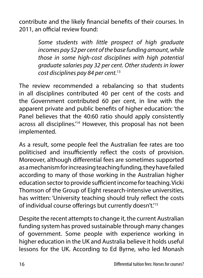contribute and the likely financial benefits of their courses. In 2011, an official review found:

> *Some students with little prospect of high graduate incomes pay 52 per cent of the base funding amount, while those in some high-cost disciplines with high potential graduate salaries pay 32 per cent. Other students in lower cost disciplines pay 84 per cent.*<sup>13</sup>

The review recommended a rebalancing so that students in all disciplines contributed 40 per cent of the costs and the Government contributed 60 per cent, in line with the apparent private and public benefits of higher education: 'the Panel believes that the 40:60 ratio should apply consistently across all disciplines.<sup>'14</sup> However, this proposal has not been implemented.

As a result, some people feel the Australian fee rates are too politicised and insufficiently reflect the costs of provision. Moreover, although differential fees are sometimes supported as a mechanism for increasing teaching funding, they have failed according to many of those working in the Australian higher education sector to provide sufficient income for teaching. Vicki Thomson of the Group of Eight research-intensive universities, has written: 'University teaching should truly reflect the costs of individual course offerings but currently doesn't.'15

Despite the recent attempts to change it, the current Australian funding system has proved sustainable through many changes of government. Some people with experience working in higher education in the UK and Australia believe it holds useful lessons for the UK. According to Ed Byrne, who led Monash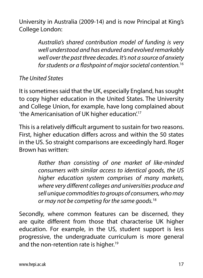University in Australia (2009-14) and is now Principal at King's College London:

> *Australia's shared contribution model of funding is very well understood and has endured and evolved remarkably well over the past three decades. It's not a source of anxiety for students or a flashpoint of major societal contention.*<sup>16</sup>

## *The United States*

It is sometimes said that the UK, especially England, has sought to copy higher education in the United States. The University and College Union, for example, have long complained about 'the Americanisation of UK higher education'.17

This is a relatively difficult argument to sustain for two reasons. First, higher education differs across and within the 50 states in the US. So straight comparisons are exceedingly hard. Roger Brown has written:

> *Rather than consisting of one market of like-minded consumers with similar access to identical goods, the US higher education system comprises of many markets, where very different colleges and universities produce and sell unique commodities to groups of consumers, who may or may not be competing for the same goods.*<sup>18</sup>

Secondly, where common features can be discerned, they are quite different from those that characterise UK higher education. For example, in the US, student support is less progressive, the undergraduate curriculum is more general and the non-retention rate is higher.<sup>19</sup>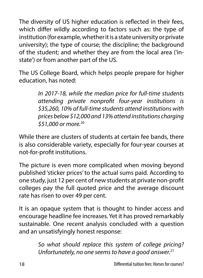The diversity of US higher education is reflected in their fees, which differ wildly according to factors such as: the type of institution (for example, whether it is a state university or private university); the type of course; the discipline; the background of the student; and whether they are from the local area ('instate') or from another part of the US.

The US College Board, which helps people prepare for higher education, has noted:

> *In 2017-18, while the median price for full-time students attending private nonprofit four-year institutions is \$35,260, 10% of full-time students attend institutions with prices below \$12,000 and 13% attend institutions charging \$51,000 or more.*<sup>20</sup>

While there are clusters of students at certain fee bands, there is also considerable variety, especially for four-year courses at not-for-profit institutions.

The picture is even more complicated when moving beyond published 'sticker prices' to the actual sums paid. According to one study, just 12 per cent of new students at private non-profit colleges pay the full quoted price and the average discount rate has risen to over 49 per cent.

It is an opaque system that is thought to hinder access and encourage headline fee increases. Yet it has proved remarkably sustainable. One recent analysis concluded with a question and an unsatisfyingly honest response:

> *So what should replace this system of college pricing? Unfortunately, no one seems to have a good answer.*21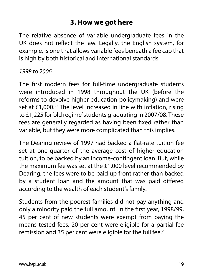# **3. How we got here**

The relative absence of variable undergraduate fees in the UK does not reflect the law. Legally, the English system, for example, is one that allows variable fees beneath a fee cap that is high by both historical and international standards.

#### *1998 to 2006*

The first modern fees for full-time undergraduate students were introduced in 1998 throughout the UK (before the reforms to devolve higher education policymaking) and were set at £1,000.<sup>22</sup> The level increased in line with inflation, rising to £1,225 for 'old regime' students graduating in 2007/08. These fees are generally regarded as having been fixed rather than variable, but they were more complicated than this implies.

The Dearing review of 1997 had backed a flat-rate tuition fee set at one-quarter of the average cost of higher education tuition, to be backed by an income-contingent loan. But, while the maximum fee was set at the £1,000 level recommended by Dearing, the fees were to be paid up front rather than backed by a student loan and the amount that was paid differed according to the wealth of each student's family.

Students from the poorest families did not pay anything and only a minority paid the full amount. In the first year, 1998/99, 45 per cent of new students were exempt from paying the means-tested fees, 20 per cent were eligible for a partial fee remission and 35 per cent were eligible for the full fee.<sup>23</sup>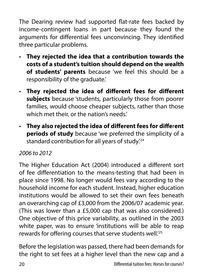The Dearing review had supported flat-rate fees backed by income-contingent loans in part because they found the arguments for differential fees unconvincing. They identified three particular problems.

- **They rejected the idea that a contribution towards the costs of a student's tuition should depend on the wealth of students' parents** because 'we feel this should be a responsibility of the graduate.'
- **They rejected the idea of different fees for different subjects** because 'students, particularly those from poorer families, would choose cheaper subjects, rather than those which met their, or the nation's needs.'
- **They also rejected the idea of different fees for diffe**r**ent periods of study** because 'we preferred the simplicity of a standard contribution for all years of study.'24

#### *2006 to 2012*

The Higher Education Act (2004) introduced a different sort of fee differentiation to the means-testing that had been in place since 1998. No longer would fees vary according to the household income for each student. Instead, higher education institutions would be allowed to set their own fees beneath an overarching cap of £3,000 from the 2006/07 academic year. (This was lower than a £5,000 cap that was also considered.) One objective of this price variability, as outlined in the 2003 white paper, was to ensure 'institutions will be able to reap rewards for offering courses that serve students well.'25

Before the legislation was passed, there had been demands for the right to set fees at a higher level than the new cap and a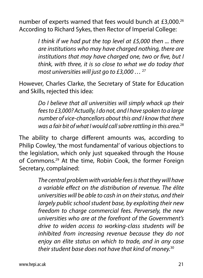number of experts warned that fees would bunch at £3,000.<sup>26</sup> According to Richard Sykes, then Rector of Imperial College:

> *I think if we had put the top level at £5,000 then ... there are institutions who may have charged nothing, there are institutions that may have charged one, two or five, but I think, with three, it is so close to what we do today that most universities will just go to £3,000 …* <sup>27</sup>

However, Charles Clarke, the Secretary of State for Education and Skills, rejected this idea:

> *Do I believe that all universities will simply whack up their fees to £3,000? Actually, I do not, and I have spoken to a large number of vice-chancellors about this and I know that there was a fair bit of what I would call sabre rattling in this area.*<sup>28</sup>

The ability to charge different amounts was, according to Philip Cowley, 'the most fundamental' of various objections to the legislation, which only just squeaked through the House of Commons.29 At the time, Robin Cook, the former Foreign Secretary, complained:

> *The central problem with variable fees is that they will have a variable effect on the distribution of revenue. The élite universities will be able to cash in on their status, and their largely public school student base, by exploiting their new freedom to charge commercial fees. Perversely, the new universities who are at the forefront of the Government's drive to widen access to working-class students will be inhibited from increasing revenue because they do not enjoy an élite status on which to trade, and in any case their student base does not have that kind of money.*30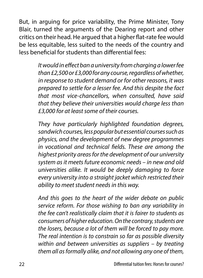But, in arguing for price variability, the Prime Minister, Tony Blair, turned the arguments of the Dearing report and other critics on their head. He argued that a higher flat-rate fee would be less equitable, less suited to the needs of the country and less beneficial for students than differential fees:

> *It would in effect ban a university from charging a lower fee than £2,500 or £3,000 for any course, regardless of whether, in response to student demand or for other reasons, it was prepared to settle for a lesser fee. And this despite the fact that most vice-chancellors, when consulted, have said that they believe their universities would charge less than £3,000 for at least some of their courses.*

> *They have particularly highlighted foundation degrees, sandwich courses, less popular but essential courses such as physics, and the development of new degree programmes in vocational and technical fields. These are among the highest priority areas for the development of our university system as it meets future economic needs – in new and old universities alike. It would be deeply damaging to force every university into a straight jacket which restricted their ability to meet student needs in this way.*

> *And this goes to the heart of the wider debate on public service reform. For those wishing to ban any variability in the fee can't realistically claim that it is fairer to students as consumers of higher education. On the contrary, students are the losers, because a lot of them will be forced to pay more. The real intention is to constrain so far as possible diversity within and between universities as suppliers – by treating them all as formally alike, and not allowing any one of them,*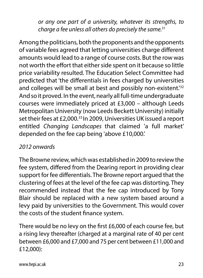*or any one part of a university, whatever its strengths, to charge a fee unless all others do precisely the same.*<sup>31</sup>

Among the politicians, both the proponents and the opponents of variable fees agreed that letting universities charge different amounts would lead to a range of course costs. But the row was not worth the effort that either side spent on it because so little price variability resulted. The Education Select Committee had predicted that 'the differentials in fees charged by universities and colleges will be small at best and possibly non-existent.<sup>132</sup> And so it proved. In the event, nearly all full-time undergraduate courses were immediately priced at £3,000 – although Leeds Metropolitan University (now Leeds Beckett University) initially set their fees at £2,000.<sup>33</sup> In 2009, Universities UK issued a report entitled *Changing Landscapes* that claimed 'a full market' depended on the fee cap being 'above £10,000.'

## *2012 onwards*

The Browne review, which was established in 2009 to review the fee system, differed from the Dearing report in providing clear support for fee differentials. The Browne report argued that the clustering of fees at the level of the fee cap was distorting. They recommended instead that the fee cap introduced by Tony Blair should be replaced with a new system based around a levy paid by universities to the Government. This would cover the costs of the student finance system.

There would be no levy on the first £6,000 of each course fee, but a rising levy thereafter (charged at a marginal rate of 40 per cent between £6,000 and £7,000 and 75 per cent between £11,000 and £12,000):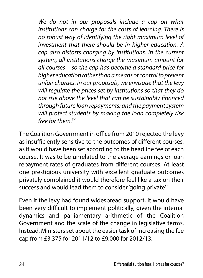*We do not in our proposals include a cap on what institutions can charge for the costs of learning. There is no robust way of identifying the right maximum level of investment that there should be in higher education. A cap also distorts charging by institutions. In the current system, all institutions charge the maximum amount for all courses – so the cap has become a standard price for higher education rather than a means of control to prevent unfair charges. In our proposals, we envisage that the levy will regulate the prices set by institutions so that they do not rise above the level that can be sustainably financed through future loan repayments; and the payment system will protect students by making the loan completely risk free for them.34*

The Coalition Government in office from 2010 rejected the levy as insufficiently sensitive to the outcomes of different courses, as it would have been set according to the headline fee of each course. It was to be unrelated to the average earnings or loan repayment rates of graduates from different courses. At least one prestigious university with excellent graduate outcomes privately complained it would therefore feel like a tax on their success and would lead them to consider 'going private'.<sup>35</sup>

Even if the levy had found widespread support, it would have been very difficult to implement politically, given the internal dynamics and parliamentary arithmetic of the Coalition Government and the scale of the change in legislative terms. Instead, Ministers set about the easier task of increasing the fee cap from £3,375 for 2011/12 to £9,000 for 2012/13.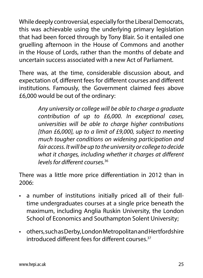While deeply controversial, especially for the Liberal Democrats, this was achievable using the underlying primary legislation that had been forced through by Tony Blair. So it entailed one gruelling afternoon in the House of Commons and another in the House of Lords, rather than the months of debate and uncertain success associated with a new Act of Parliament.

There was, at the time, considerable discussion about, and expectation of, different fees for different courses and different institutions. Famously, the Government claimed fees above £6,000 would be out of the ordinary:

> *Any university or college will be able to charge a graduate contribution of up to £6,000. In exceptional cases, universities will be able to charge higher contributions [than £6,000], up to a limit of £9,000, subject to meeting much tougher conditions on widening participation and fair access. It will be up to the university or college to decide what it charges, including whether it charges at different levels for different courses.*<sup>36</sup>

There was a little more price differentiation in 2012 than in 2006:

- a number of institutions initially priced all of their fulltime undergraduates courses at a single price beneath the maximum, including Anglia Ruskin University, the London School of Economics and Southampton Solent University;
- others, such as Derby, London Metropolitan and Hertfordshire introduced different fees for different courses<sup>37</sup>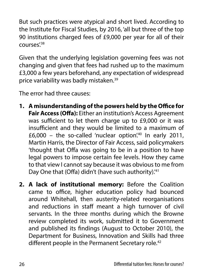But such practices were atypical and short lived. According to the Institute for Fiscal Studies, by 2016, 'all but three of the top 90 institutions charged fees of £9,000 per year for all of their courses'.<sup>38</sup>

Given that the underlying legislation governing fees was not changing and given that fees had rushed up to the maximum £3,000 a few years beforehand, any expectation of widespread price variability was badly mistaken.<sup>39</sup>

The error had three causes:

- **1. A misunderstanding of the powers held by the Office for Fair Access (Offa):** Either an institution's Access Agreement was sufficient to let them charge up to £9,000 or it was insufficient and they would be limited to a maximum of  $£6,000 -$  the so-called 'nuclear option'.<sup>40</sup> In early 2011, Martin Harris, the Director of Fair Access, said policymakers 'thought that Offa was going to be in a position to have legal powers to impose certain fee levels. How they came to that view I cannot say because it was obvious to me from Day One that (Offa) didn't (have such authority).<sup>'41</sup>
- **2. A lack of institutional memory:** Before the Coalition came to office, higher education policy had bounced around Whitehall, then austerity-related reorganisations and reductions in staff meant a high turnover of civil servants. In the three months during which the Browne review completed its work, submitted it to Government and published its findings (August to October 2010), the Department for Business, Innovation and Skills had three different people in the Permanent Secretary role.<sup>42</sup>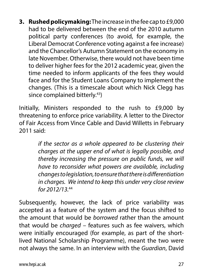**3. Rushed policymaking:** The increase in the fee cap to £9,000 had to be delivered between the end of the 2010 autumn political party conferences (to avoid, for example, the Liberal Democrat Conference voting against a fee increase) and the Chancellor's Autumn Statement on the economy in late November. Otherwise, there would not have been time to deliver higher fees for the 2012 academic year, given the time needed to inform applicants of the fees they would face and for the Student Loans Company to implement the changes. (This is a timescale about which Nick Clegg has since complained bitterly.43)

Initially, Ministers responded to the rush to £9,000 by threatening to enforce price variability. A letter to the Director of Fair Access from Vince Cable and David Willetts in February  $2011$  said:

> *if the sector as a whole appeared to be clustering their charges at the upper end of what is legally possible, and thereby increasing the pressure on public funds, we will have to reconsider what powers are available, including changes to legislation, to ensure that there is differentiation in charges. We intend to keep this under very close review for 2012/13.*<sup>44</sup>

Subsequently, however, the lack of price variability was accepted as a feature of the system and the focus shifted to the amount that would be *borrowed* rather than the amount that would be *charged* – features such as fee waivers, which were initially encouraged (for example, as part of the shortlived National Scholarship Programme), meant the two were not always the same. In an interview with the *Guardian*, David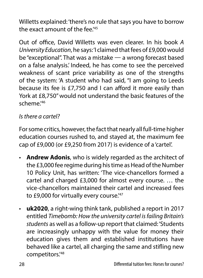Willetts explained: 'there's no rule that says you have to borrow the exact amount of the fee.<sup>'45</sup>

Out of office, David Willetts was even clearer. In his book *A University Education*, he says: 'I claimed that fees of £9,000 would be "exceptional". That was a mistake — a wrong forecast based on a false analysis.' Indeed, he has come to see the perceived weakness of scant price variability as one of the strengths of the system: 'A student who had said, "I am going to Leeds because its fee is £7,750 and I can afford it more easily than York at £8,750" would not understand the basic features of the scheme<sup>'46</sup>

## *Is there a cartel?*

For some critics, however, the fact that nearly all full-time higher education courses rushed to, and stayed at, the maximum fee cap of £9,000 (or £9,250 from 2017) is evidence of a 'cartel'.

- **Andrew Adonis**, who is widely regarded as the architect of the £3,000 fee regime during his time as Head of the Number 10 Policy Unit, has written: 'The vice-chancellors formed a cartel and charged £3,000 for almost every course. … the vice-chancellors maintained their cartel and increased fees to £9,000 for virtually every course.<sup>'47</sup>
- **uk2020**, a right-wing think tank, published a report in 2017 entitled *Timebomb: How the university cartel is failing Britain's students* as well as a follow-up report that claimed: 'Students are increasingly unhappy with the value for money their education gives them and established institutions have behaved like a cartel, all charging the same and stifling new competitors.'48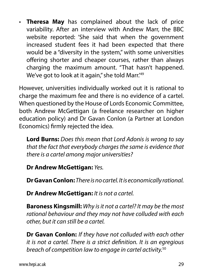• **Theresa May** has complained about the lack of price variability. After an interview with Andrew Marr, the BBC website reported: 'She said that when the government increased student fees it had been expected that there would be a "diversity in the system," with some universities offering shorter and cheaper courses, rather than always charging the maximum amount. "That hasn't happened. We've got to look at it again," she told Marr.<sup>'49</sup>

However, universities individually worked out it is rational to charge the maximum fee and there is no evidence of a cartel. When questioned by the House of Lords Economic Committee, both Andrew McGettigan (a freelance researcher on higher education policy) and Dr Gavan Conlon (a Partner at London Economics) firmly rejected the idea.

**Lord Burns:** *Does this mean that Lord Adonis is wrong to say that the fact that everybody charges the same is evidence that there is a cartel among major universities?*

**Dr Andrew McGettigan:** *Yes.*

**Dr Gavan Conlon:** *There is no cartel. It is economically rational.*

**Dr Andrew McGettigan:** *It is not a cartel.*

**Baroness Kingsmill:** *Why is it not a cartel? It may be the most rational behaviour and they may not have colluded with each other, but it can still be a cartel.*

**Dr Gavan Conlon:** *If they have not colluded with each other it is not a cartel. There is a strict definition. It is an egregious breach of competition law to engage in cartel activity.*50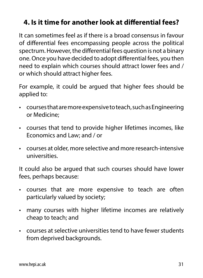# **4. Is it time for another look at differential fees?**

It can sometimes feel as if there is a broad consensus in favour of differential fees encompassing people across the political spectrum. However, the differential fees question is not a binary one. Once you have decided to adopt differential fees, you then need to explain which courses should attract lower fees and / or which should attract higher fees.

For example, it could be argued that higher fees should be applied to:

- courses that are more expensive to teach, such as Engineering or Medicine;
- courses that tend to provide higher lifetimes incomes, like Economics and Law; and / or
- courses at older, more selective and more research-intensive universities.

It could also be argued that such courses should have lower fees, perhaps because:

- courses that are more expensive to teach are often particularly valued by society;
- many courses with higher lifetime incomes are relatively cheap to teach; and
- courses at selective universities tend to have fewer students from deprived backgrounds.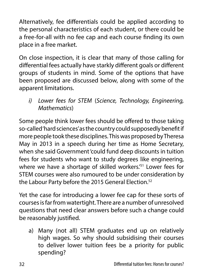Alternatively, fee differentials could be applied according to the personal characteristics of each student, or there could be a free-for-all with no fee cap and each course finding its own place in a free market.

On close inspection, it is clear that many of those calling for differential fees actually have starkly different goals or different groups of students in mind. Some of the options that have been proposed are discussed below, along with some of the apparent limitations.

*i) Lower fees for STEM* (*Science, Technology, Engineering, Mathematics*)

Some people think lower fees should be offered to those taking so-called 'hard sciences' as the country could supposedly benefit if more people took these disciplines. This was proposed by Theresa May in 2013 in a speech during her time as Home Secretary, when she said Government 'could fund deep discounts in tuition fees for students who want to study degrees like engineering, where we have a shortage of skilled workers.'51 Lower fees for STEM courses were also rumoured to be under consideration by the Labour Party before the 2015 General Election.<sup>52</sup>

Yet the case for introducing a lower fee cap for these sorts of courses is far from watertight. There are a number of unresolved questions that need clear answers before such a change could be reasonably justified.

a) Many (not all) STEM graduates end up on relatively high wages. So why should subsidising their courses to deliver lower tuition fees be a priority for public spending?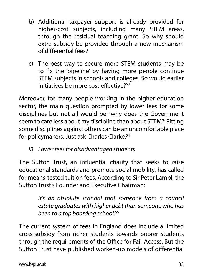- b) Additional taxpayer support is already provided for higher-cost subjects, including many STEM areas, through the residual teaching grant. So why should extra subsidy be provided through a new mechanism of differential fees?
- c) The best way to secure more STEM students may be to fix the 'pipeline' by having more people continue STEM subjects in schools and colleges. So would earlier initiatives be more cost effective?<sup>53</sup>

Moreover, for many people working in the higher education sector, the main question prompted by lower fees for some disciplines but not all would be: 'why does the Government seem to care less about my discipline than about STEM?' Pitting some disciplines against others can be an uncomfortable place for policymakers. Just ask Charles Clarke.<sup>54</sup>

## *ii) Lower fees for disadvantaged students*

The Sutton Trust, an influential charity that seeks to raise educational standards and promote social mobility, has called for means-tested tuition fees. According to Sir Peter Lampl, the Sutton Trust's Founder and Executive Chairman:

> *It's an absolute scandal that someone from a council estate graduates with higher debt than someone who has been to a top boarding school.*<sup>55</sup>

The current system of fees in England does include a limited cross-subsidy from richer students towards poorer students through the requirements of the Office for Fair Access. But the Sutton Trust have published worked-up models of differential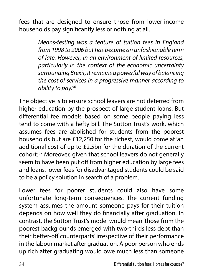fees that are designed to ensure those from lower-income households pay significantly less or nothing at all.

> *Means-testing was a feature of tuition fees in England from 1998 to 2006 but has become an unfashionable term of late. However, in an environment of limited resources, particularly in the context of the economic uncertainty surrounding Brexit, it remains a powerful way of balancing the cost of services in a progressive manner according to ability to pay.*<sup>56</sup>

The objective is to ensure school leavers are not deterred from higher education by the prospect of large student loans. But differential fee models based on some people paying less tend to come with a hefty bill. The Sutton Trust's work, which assumes fees are abolished for students from the poorest households but are £12,250 for the richest, would come at 'an additional cost of up to £2.5bn for the duration of the current cohort.'57 Moreover, given that school leavers do not generally seem to have been put off from higher education by large fees and loans, lower fees for disadvantaged students could be said to be a policy solution in search of a problem.

Lower fees for poorer students could also have some unfortunate long-term consequences. The current funding system assumes the amount someone pays for their tuition depends on how well they do financially after graduation. In contrast, the Sutton Trust's model would mean 'those from the poorest backgrounds emerged with two-thirds less debt than their better-off counterparts' irrespective of their performance in the labour market after graduation. A poor person who ends up rich after graduating would owe much less than someone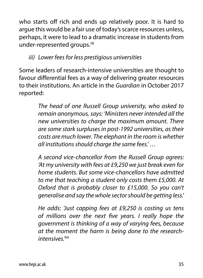who starts off rich and ends up relatively poor. It is hard to argue this would be a fair use of today's scarce resources unless, perhaps, it were to lead to a dramatic increase in students from under-represented groups.58

### *iii) Lower fees for less prestigious universities*

Some leaders of research-intensive universities are thought to favour differential fees as a way of delivering greater resources to their institutions. An article in the *Guardian* in October 2017 reported:

> *The head of one Russell Group university, who asked to remain anonymous, says: 'Ministers never intended all the new universities to charge the maximum amount. There are some stark surpluses in post-1992 universities, as their costs are much lower. The elephant in the room is whether all institutions should charge the same fees.' …*

> *A second vice-chancellor from the Russell Group agrees: 'At my university with fees at £9,250 we just break even for home students. But some vice-chancellors have admitted to me that teaching a student only costs them £5,000. At Oxford that is probably closer to £15,000. So you can't generalise and say the whole sector should be getting less.'*

> *He adds: 'Just capping fees at £9,250 is costing us tens of millions over the next five years. I really hope the government is thinking of a way of varying fees, because at the moment the harm is being done to the researchintensives.'*59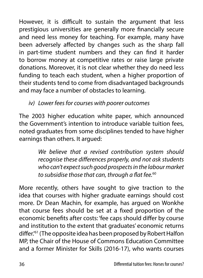However, it is difficult to sustain the argument that less prestigious universities are generally more financially secure and need less money for teaching. For example, many have been adversely affected by changes such as the sharp fall in part-time student numbers and they can find it harder to borrow money at competitive rates or raise large private donations. Moreover, it is not clear whether they do need less funding to teach each student, when a higher proportion of their students tend to come from disadvantaged backgrounds and may face a number of obstacles to learning.

*iv) Lower fees for courses with poorer outcomes*

The 2003 higher education white paper, which announced the Government's intention to introduce variable tuition fees, noted graduates from some disciplines tended to have higher earnings than others. It argued:

> *We believe that a revised contribution system should recognise these differences properly, and not ask students who can't expect such good prospects in the labour market to subsidise those that can, through a flat fee.*<sup>60</sup>

More recently, others have sought to give traction to the idea that courses with higher graduate earnings should cost more. Dr Dean Machin, for example, has argued on Wonkhe that course fees should be set at a fixed proportion of the economic benefits after costs: 'fee caps should differ by course and institution to the extent that graduates' economic returns differ.'61 (The opposite idea has been proposed by Robert Halfon MP, the Chair of the House of Commons Education Committee and a former Minister for Skills (2016-17), who wants courses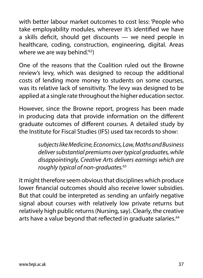with better labour market outcomes to cost less: 'People who take employability modules, wherever it's identified we have a skills deficit, should get discounts — we need people in healthcare, coding, construction, engineering, digital. Areas where we are way behind.<sup>'62</sup>)

One of the reasons that the Coalition ruled out the Browne review's levy, which was designed to recoup the additional costs of lending more money to students on some courses, was its relative lack of sensitivity. The levy was designed to be applied at a single rate throughout the higher education sector.

However, since the Browne report, progress has been made in producing data that provide information on the different graduate outcomes of different courses. A detailed study by the Institute for Fiscal Studies (IFS) used tax records to show:

> *subjects like Medicine, Economics, Law, Maths and Business deliver substantial premiums over typical graduates, while disappointingly, Creative Arts delivers earnings which are roughly typical of non-graduates.*<sup>63</sup>

It might therefore seem obvious that disciplines which produce lower financial outcomes should also receive lower subsidies. But that could be interpreted as sending an unfairly negative signal about courses with relatively low private returns but relatively high public returns (Nursing, say). Clearly, the creative arts have a value beyond that reflected in graduate salaries.<sup>64</sup>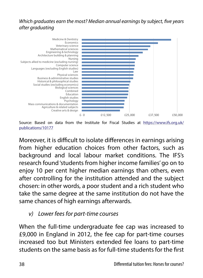#### *Which graduates earn the most? Median annual earnings by subject, five years after graduating*



Source: Based on data from the Institute for Fiscal Studies at https://www.ifs.org.uk/ publications/10177

Moreover, it is difficult to isolate differences in earnings arising from higher education choices from other factors, such as background and local labour market conditions. The IFS's research found 'students from higher income families' go on to enjoy 10 per cent higher median earnings than others, even after controlling for the institution attended and the subject chosen: in other words, a poor student and a rich student who take the same degree at the same institution do not have the same chances of high earnings afterwards.

### *v) Lower fees for part-time courses*

When the full-time undergraduate fee cap was increased to £9,000 in England in 2012, the fee cap for part-time courses increased too but Ministers extended fee loans to part-time students on the same basis as for full-time students for the first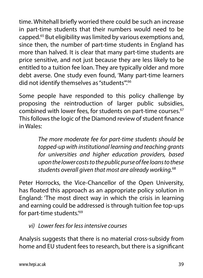time. Whitehall briefly worried there could be such an increase in part-time students that their numbers would need to be capped.65 But eligibility was limited by various exemptions and, since then, the number of part-time students in England has more than halved. It is clear that many part-time students are price sensitive, and not just because they are less likely to be entitled to a tuition fee loan. They are typically older and more debt averse. One study even found, 'Many part-time learners did not identify themselves as "students".<sup>66</sup>

Some people have responded to this policy challenge by proposing the reintroduction of larger public subsidies, combined with lower fees, for students on part-time courses.<sup>67</sup> This follows the logic of the Diamond review of student finance in Wales:

> *The more moderate fee for part-time students should be topped-up with institutional learning and teaching grants for universities and higher education providers, based upon the lower costs to the public purse of fee loans to these students overall given that most are already working.*<sup>68</sup>

Peter Horrocks, the Vice-Chancellor of the Open University, has floated this approach as an appropriate policy solution in England: 'The most direct way in which the crisis in learning and earning could be addressed is through tuition fee top-ups for part-time students.'69

*vi) Lower fees for less intensive courses*

Analysis suggests that there is no material cross-subsidy from home and EU student fees to research, but there is a significant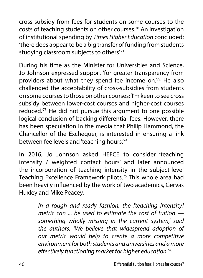cross-subsidy from fees for students on some courses to the costs of teaching students on other courses.70 An investigation of institutional spending by *Times Higher Education* concluded: 'there does appear to be a big transfer of funding from students studying classroom subjects to others'.<sup>71</sup>

During his time as the Minister for Universities and Science, Jo Johnson expressed support 'for greater transparency from providers about what they spend fee income on.'72 He also challenged the acceptability of cross-subsidies from students on some courses to those on other courses: 'I'm keen to see cross subsidy between lower-cost courses and higher-cost courses reduced.'73 He did not pursue this argument to one possible logical conclusion of backing differential fees. However, there has been speculation in the media that Philip Hammond, the Chancellor of the Exchequer, is interested in ensuring a link between fee levels and 'teaching hours.'74

In 2016, Jo Johnson asked HEFCE to consider 'teaching intensity / weighted contact hours' and later announced the incorporation of teaching intensity in the subject-level Teaching Excellence Framework pilots.75 This whole area had been heavily influenced by the work of two academics, Gervas Huxley and Mike Peacey:

> *In a rough and ready fashion, the [teaching intensity] metric can ... be used to estimate the cost of tuition something wholly missing in the current system,' said the authors. 'We believe that widespread adoption of our metric would help to create a more competitive environment for both students and universities and a more effectively functioning market for higher education.'*76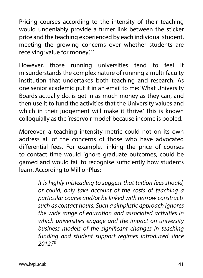Pricing courses according to the intensity of their teaching would undeniably provide a firmer link between the sticker price and the teaching experienced by each individual student, meeting the growing concerns over whether students are receiving 'value for money'.<sup>77</sup>

However, those running universities tend to feel it misunderstands the complex nature of running a multi-faculty institution that undertakes both teaching and research. As one senior academic put it in an email to me: 'What University Boards actually do, is get in as much money as they can, and then use it to fund the activities that the University values and which in their judgement will make it thrive.' This is known colloquially as the 'reservoir model' because income is pooled.

Moreover, a teaching intensity metric could not on its own address all of the concerns of those who have advocated differential fees. For example, linking the price of courses to contact time would ignore graduate outcomes, could be gamed and would fail to recognise sufficiently how students learn. According to MillionPlus:

> *It is highly misleading to suggest that tuition fees should, or could, only take account of the costs of teaching a particular course and/or be linked with narrow constructs such as contact hours. Such a simplistic approach ignores the wide range of education and associated activities in which universities engage and the impact on university business models of the significant changes in teaching funding and student support regimes introduced since 2012.*78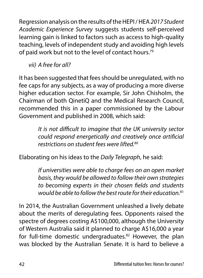Regression analysis on the results of the HEPI / HEA *2017 Student Academic Experience Survey* suggests students self-perceived learning gain is linked to factors such as access to high-quality teaching, levels of independent study and avoiding high levels of paid work but not to the level of contact hours.<sup>79</sup>

*vii) A free for all?*

It has been suggested that fees should be unregulated, with no fee caps for any subjects, as a way of producing a more diverse higher education sector. For example, Sir John Chisholm, the Chairman of both QinetiQ and the Medical Research Council, recommended this in a paper commissioned by the Labour Government and published in 2008, which said:

> *It is not difficult to imagine that the UK university sector could respond energetically and creatively once artificial*  restrictions on student fees were lifted<sup>80</sup>

Elaborating on his ideas to the *Daily Telegraph*, he said:

*If universities were able to charge fees on an open market basis, they would be allowed to follow their own strategies to becoming experts in their chosen fields and students would be able to follow the best route for their education.*<sup>81</sup>

In 2014, the Australian Government unleashed a lively debate about the merits of deregulating fees. Opponents raised the spectre of degrees costing A\$100,000, although the University of Western Australia said it planned to charge A\$16,000 a year for full-time domestic undergraduates.<sup>82</sup> However, the plan was blocked by the Australian Senate. It is hard to believe a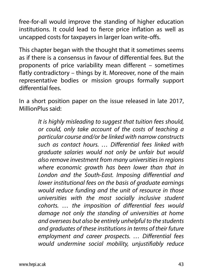free-for-all would improve the standing of higher education institutions. It could lead to fierce price inflation as well as uncapped costs for taxpayers in larger loan write-offs.

This chapter began with the thought that it sometimes seems as if there is a consensus in favour of differential fees. But the proponents of price variability mean different – sometimes flatly contradictory – things by it. Moreover, none of the main representative bodies or mission groups formally support differential fees.

In a short position paper on the issue released in late 2017, MillionPlus said:

> *It is highly misleading to suggest that tuition fees should, or could, only take account of the costs of teaching a particular course and/or be linked with narrow constructs such as contact hours. … Differential fees linked with graduate salaries would not only be unfair but would also remove investment from many universities in regions where economic growth has been lower than that in London and the South-East. Imposing differential and lower institutional fees on the basis of graduate earnings would reduce funding and the unit of resource in those universities with the most socially inclusive student cohorts. … the imposition of differential fees would damage not only the standing of universities at home and overseas but also be entirely unhelpful to the students and graduates of these institutions in terms of their future employment and career prospects. … Differential fees would undermine social mobility, unjustifiably reduce*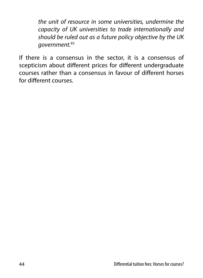*the unit of resource in some universities, undermine the capacity of UK universities to trade internationally and should be ruled out as a future policy objective by the UK government.*<sup>83</sup>

If there is a consensus in the sector, it is a consensus of scepticism about different prices for different undergraduate courses rather than a consensus in favour of different horses for different courses.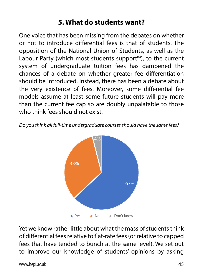## **5. What do students want?**

One voice that has been missing from the debates on whether or not to introduce differential fees is that of students. The opposition of the National Union of Students, as well as the Labour Party (which most students support $84$ ), to the current system of undergraduate tuition fees has dampened the chances of a debate on whether greater fee differentiation should be introduced. Instead, there has been a debate about the very existence of fees. Moreover, some differential fee models assume at least some future students will pay more than the current fee cap so are doubly unpalatable to those who think fees should not exist.  $\alpha$  not exist.

Do you think all full-time undergraduate courses should have the same fees?



Yet we know rather little about what the mass of students think of differential fees relative to flat-rate fees (or relative to capped fees that have tended to bunch at the same level). We set out to improve our knowledge of students' opinions by asking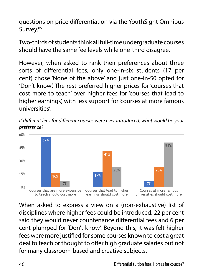questions on price differentiation via the YouthSight Omnibus Survey.<sup>85</sup>

Two-thirds of students think all full-time undergraduate courses should have the same fee levels while one-third disagree.

However, when asked to rank their preferences about three sorts of differential fees, only one-in-six students (17 per cent) chose 'None of the above' and just one-in-50 opted for 'Don't know'. The rest preferred higher prices for 'courses that cost more to teach' over higher fees for 'courses that lead to higher earnings', with less support for 'courses at more famous universities'.

*If different fees for different courses were ever introduced, what would be your preference?*



for many classroom-based and creative subjects.<br>46 Differential tuition fees: Horses for courses?<br>?Differential tuition fees: Horses for courses When asked to express a view on a (non-exhaustive) list of for many classroom-based and creative subjects. deal to teach or thought to offer high graduate salaries but not fees were more justified for some courses known to cost a great said they would never countenance differential fees and 6 per disciplines where higher fees could be introduced, 22 per cent cent plumped for 'Don't know'. Beyond this, it was felt higher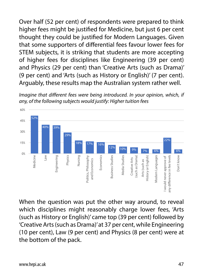Over half (52 per cent) of respondents were prepared to think higher fees might be justified for Medicine, but just 6 per cent thought they could be justified for Modern Languages. Given that some supporters of differential fees favour lower fees for STEM subjects, it is striking that students are more accepting of higher fees for disciplines like Engineering (39 per cent) and Physics (29 per cent) than 'Creative Arts (such as Drama)' management (20 per cent), man extends on a gradition of contact of the cent). Arguably, these results map the Australian system rather well. 7% 7% 41%  $\sim$ 57%

Imagine that different fees were being introduced. In your opinion, which, if any, of the following subjects would justify: Higher tuition fees



When the question was put the other way around, to reveal which disciplines might reasonably charge lower fees, 'Arts (such as History or English)' came top (39 per cent) followed by 'Creative Arts (such as Drama)' at 37 per cent, while Engineering (10 per cent), Law (9 per cent) and Physics (8 per cent) were at the bottom of the pack.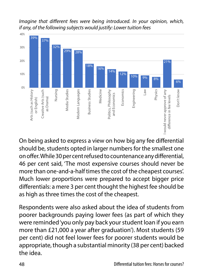*Imagine that different fees were being introduced. In your opinion, which, if any, of the following subjects would justify: Lower tuition fees*



On being asked to express a view on how big any fee differential should be, students opted in larger numbers for the smallest one on offer. While 30 per cent refused to countenance any differential, 46 per cent said, 'The most expensive courses should never be more than one-and-a-half times the cost of the cheapest courses'. Much lower proportions were prepared to accept bigger price differentials: a mere 3 per cent thought the highest fee should be as high as three times the cost of the cheapest.

Respondents were also asked about the idea of students from poorer backgrounds paying lower fees (as part of which they were reminded 'you only pay back your student loan if you earn more than £21,000 a year after graduation'). Most students (59 per cent) did not feel lower fees for poorer students would be appropriate, though a substantial minority (38 per cent) backed the idea.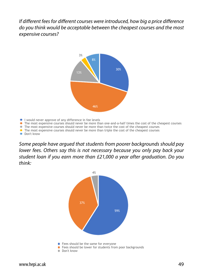*If different fees for different courses were introduced, how big a price difference do you think would be acceptable between the cheapest courses and the most expensive courses?* 



- I would never approve of any difference in fee levels
- The most expensive courses should never be more than one-and-a-half times the cost of the cheapest courses
- The most expensive courses should never be more than twice the cost of the cheapest courses
- The most expensive courses should never be more than triple the cost of the cheapest courses
- Don't know

Some people have argued that students from poorer backgrounds should pay lower fees. Others say this is not necessary because you only pay back your student loan if you earn more than £21,000 a year after graduation. Do you think: The most expensive courses showled never be more than triple than triple than triple the cost of the cheapest courses  $\mathcal{L}$ 

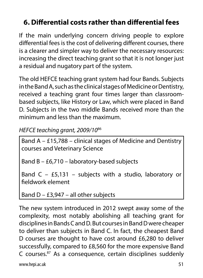# **6. Differential costs rather than differential fees**

If the main underlying concern driving people to explore differential fees is the cost of delivering different courses, there is a clearer and simpler way to deliver the necessary resources: increasing the direct teaching grant so that it is not longer just a residual and nugatory part of the system.

The old HEFCE teaching grant system had four Bands. Subjects in the Band A, such as the clinical stages of Medicine or Dentistry, received a teaching grant four times larger than classroombased subjects, like History or Law, which were placed in Band D. Subjects in the two middle Bands received more than the minimum and less than the maximum.

*HEFCE teaching grant, 2009/10*<sup>86</sup>

Band A – £15,788 – clinical stages of Medicine and Dentistry courses and Veterinary Science

Band B – £6,710 – laboratory-based subjects

Band C – £5,131 – subjects with a studio, laboratory or fieldwork element

Band  $D - E3,947 - all other subjects$ 

The new system introduced in 2012 swept away some of the complexity, most notably abolishing all teaching grant for disciplines in Bands C and D. But courses in Band D were cheaper to deliver than subjects in Band C. In fact, the cheapest Band D courses are thought to have cost around £6,280 to deliver successfully, compared to £8,560 for the more expensive Band C courses.87 As a consequence, certain disciplines suddenly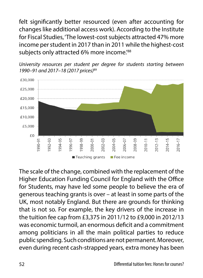felt significantly better resourced (even after accounting for changes like additional access work). According to the Institute for Fiscal Studies, 'The lowest-cost subjects attracted 47% more income per student in 2017 than in 2011 while the highest-cost subjects only attracted 6% more income.<sup>788</sup>





The scale of the change, combined with the replacement of the Higher Education Funding Council for England with the Office for Students, may have led some people to believe the era of generous teaching grants is over – at least in some parts of the UK, most notably England. But there are grounds for thinking that is not so. For example, the key drivers of the increase in the tuition fee cap from £3,375 in 2011/12 to £9,000 in 2012/13 was economic turmoil, an enormous deficit and a commitment among politicians in all the main political parties to reduce public spending. Such conditions are not permanent. Moreover, even during recent cash-strapped years, extra money has been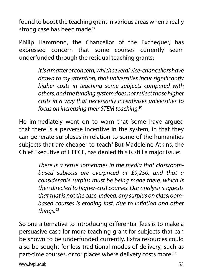found to boost the teaching grant in various areas when a really strong case has been made.<sup>90</sup>

Philip Hammond, the Chancellor of the Exchequer, has expressed concern that some courses currently seem underfunded through the residual teaching grants:

> *It is a matter of concern, which several vice-chancellors have drawn to my attention, that universities incur significantly higher costs in teaching some subjects compared with others, and the funding system does not reflect those higher costs in a way that necessarily incentivises universities to focus on increasing their STEM teaching.*<sup>91</sup>

He immediately went on to warn that 'some have argued that there is a perverse incentive in the system, in that they can generate surpluses in relation to some of the humanities subjects that are cheaper to teach.' But Madeleine Atkins, the Chief Executive of HEFCE, has denied this is still a major issue:

> *There is a sense sometimes in the media that classroombased subjects are overpriced at £9,250, and that a considerable surplus must be being made there, which is then directed to higher-cost courses. Our analysis suggests that that is not the case. Indeed, any surplus on classroombased courses is eroding fast, due to inflation and other things.*<sup>92</sup>

So one alternative to introducing differential fees is to make a persuasive case for more teaching grant for subjects that can be shown to be underfunded currently. Extra resources could also be sought for less traditional modes of delivery, such as part-time courses, or for places where delivery costs more.<sup>93</sup>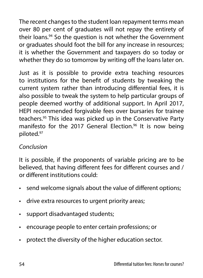The recent changes to the student loan repayment terms mean over 80 per cent of graduates will not repay the entirety of their loans.<sup>94</sup> So the question is not whether the Government or graduates should foot the bill for any increase in resources; it is whether the Government and taxpayers do so today or whether they do so tomorrow by writing off the loans later on.

Just as it is possible to provide extra teaching resources to institutions for the benefit of students by tweaking the current system rather than introducing differential fees, it is also possible to tweak the system to help particular groups of people deemed worthy of additional support. In April 2017, HEPI recommended forgivable fees over bursaries for trainee teachers.95 This idea was picked up in the Conservative Party manifesto for the 2017 General Election.<sup>96</sup> It is now being piloted.97

### *Conclusion*

It is possible, if the proponents of variable pricing are to be believed, that having different fees for different courses and / or different institutions could:

- send welcome signals about the value of different options;
- drive extra resources to urgent priority areas;
- support disadvantaged students;
- encourage people to enter certain professions; or
- protect the diversity of the higher education sector.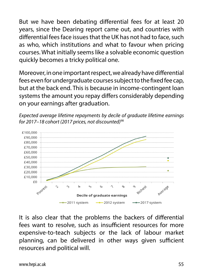But we have been debating differential fees for at least 20 years, since the Dearing report came out, and countries with differential fees face issues that the UK has not had to face, such as who, which institutions and what to favour when pricing courses. What initially seems like a solvable economic question quickly becomes a tricky political one.

Moreover, in one important respect, we already have differential fees even for undergraduate courses subject to the fixed fee cap, but at the back end. This is because in income-contingent loan systems the amount you repay differs considerably depending on your earnings after graduation.





It is also clear that the problems the backers of differential fees want to resolve, such as insufficient resources for more expensive-to-teach subjects or the lack of labour market planning, can be delivered in other ways given sufficient resources and political will.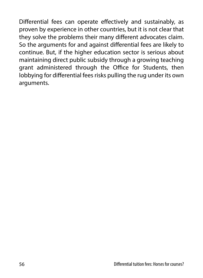Differential fees can operate effectively and sustainably, as proven by experience in other countries, but it is not clear that they solve the problems their many different advocates claim. So the arguments for and against differential fees are likely to continue. But, if the higher education sector is serious about maintaining direct public subsidy through a growing teaching grant administered through the Office for Students, then lobbying for differential fees risks pulling the rug under its own arguments.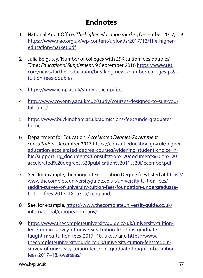## **Endnotes**

- 1 National Audit Office, *The higher education market*, December 2017, p.9 [https://www.nao.org.uk/wp-content/uploads/2017/12/The-higher](https://www.nao.org.uk/wp-content/uploads/2017/12/The-higher-education-market.pdf)[education-market.pdf](https://www.nao.org.uk/wp-content/uploads/2017/12/The-higher-education-market.pdf)
- 2 Julia Belgutay, 'Number of colleges with £9K tuition fees doubles', *Times Educational Supplement*, 9 September 2016 [https://www.tes.](https://www.tes.com/news/further-education/breaking-news/number-colleges-ps9k-tuition-fees-doubles) [com/news/further-education/breaking-news/number-colleges-ps9k](https://www.tes.com/news/further-education/breaking-news/number-colleges-ps9k-tuition-fees-doubles)[tuition-fees-doubles](https://www.tes.com/news/further-education/breaking-news/number-colleges-ps9k-tuition-fees-doubles)
- 3 <https://www.icmp.ac.uk/study-at-icmp/fees>
- 4 [http://www.coventry.ac.uk/cuc/study/courses-designed-to-suit-you/](http://www.coventry.ac.uk/cuc/study/courses-designed-to-suit-you/full-time/) [full-time/](http://www.coventry.ac.uk/cuc/study/courses-designed-to-suit-you/full-time/)
- 5 [https://www.buckingham.ac.uk/admissions/fees/undergraduate/](https://www.buckingham.ac.uk/admissions/fees/undergraduate/home) [home](https://www.buckingham.ac.uk/admissions/fees/undergraduate/home)
- 6 Department for Education, *Accelerated Degrees Government consultation*, December 2017 [https://consult.education.gov.uk/higher](https://consult.education.gov.uk/higher-education-accelerated-degree-courses/widening-student-choice-in-hig/supporting_documents/Consultation%20document%20on%20accelerated%20degrees%20publication%2011%20December.pdf)[education-accelerated-degree-courses/widening-student-choice-in](https://consult.education.gov.uk/higher-education-accelerated-degree-courses/widening-student-choice-in-hig/supporting_documents/Consultation%20document%20on%20accelerated%20degrees%20publication%2011%20December.pdf)[hig/supporting\\_documents/Consultation%20document%20on%20](https://consult.education.gov.uk/higher-education-accelerated-degree-courses/widening-student-choice-in-hig/supporting_documents/Consultation%20document%20on%20accelerated%20degrees%20publication%2011%20December.pdf) [accelerated%20degrees%20publication%2011%20December.pdf](https://consult.education.gov.uk/higher-education-accelerated-degree-courses/widening-student-choice-in-hig/supporting_documents/Consultation%20document%20on%20accelerated%20degrees%20publication%2011%20December.pdf)
- 7 See, for example, the range of Foundation Degree fees listed at [https://](https://www.thecompleteuniversityguide.co.uk/university-tuition-fees/reddin-survey-of-university-tuition-fees/foundation-undergraduate-tuition-fees-2017–18,–ukeu/#england) [www.thecompleteuniversityguide.co.uk/university-tuition-fees/](https://www.thecompleteuniversityguide.co.uk/university-tuition-fees/reddin-survey-of-university-tuition-fees/foundation-undergraduate-tuition-fees-2017–18,–ukeu/#england) [reddin-survey-of-university-tuition-fees/foundation-undergraduate](https://www.thecompleteuniversityguide.co.uk/university-tuition-fees/reddin-survey-of-university-tuition-fees/foundation-undergraduate-tuition-fees-2017–18,–ukeu/#england)[tuition-fees-2017–18,-ukeu/#england](https://www.thecompleteuniversityguide.co.uk/university-tuition-fees/reddin-survey-of-university-tuition-fees/foundation-undergraduate-tuition-fees-2017–18,–ukeu/#england)[.](https://www.thecompleteuniversityguide.co.uk/university-tuition-fees/reddin-survey-of-university-tuition-fees/postgraduate-taught-mba-tuition-fees-2017–18,-ukeu/)
- 8 See, for example, [https://www.thecompleteuniversityguide.co.uk/](https://www.thecompleteuniversityguide.co.uk/international/europe/germany/) [international/europe/germany/](https://www.thecompleteuniversityguide.co.uk/international/europe/germany/)
- 9 [https://www.thecompleteuniversityguide.co.uk/university-tuition](https://www.thecompleteuniversityguide.co.uk/university-tuition-fees/reddin-survey-of-university-tuition-fees/postgraduate-taught-mba-tuition-fees-2017%E2%80%9318%2C-ukeu/)[fees/reddin-survey-of-university-tuition-fees/postgraduate](https://www.thecompleteuniversityguide.co.uk/university-tuition-fees/reddin-survey-of-university-tuition-fees/postgraduate-taught-mba-tuition-fees-2017%E2%80%9318%2C-ukeu/)[taught-mba-tuition-fees-2017–18,-ukeu/](https://www.thecompleteuniversityguide.co.uk/university-tuition-fees/reddin-survey-of-university-tuition-fees/postgraduate-taught-mba-tuition-fees-2017%E2%80%9318%2C-ukeu/) and [https://www.](https://www.thecompleteuniversityguide.co.uk/university-tuition-fees/reddin-survey-of-university-tuition-fees/postgraduate-taught-mba-tuition-fees-2017%E2%80%9318%2C-overseas/) [thecompleteuniversityguide.co.uk/university-tuition-fees/reddin](https://www.thecompleteuniversityguide.co.uk/university-tuition-fees/reddin-survey-of-university-tuition-fees/postgraduate-taught-mba-tuition-fees-2017%E2%80%9318%2C-overseas/)[survey-of-university-tuition-fees/postgraduate-taught-mba-tuition](https://www.thecompleteuniversityguide.co.uk/university-tuition-fees/reddin-survey-of-university-tuition-fees/postgraduate-taught-mba-tuition-fees-2017%E2%80%9318%2C-overseas/)[fees-2017–18,-overseas/](https://www.thecompleteuniversityguide.co.uk/university-tuition-fees/reddin-survey-of-university-tuition-fees/postgraduate-taught-mba-tuition-fees-2017%E2%80%9318%2C-overseas/)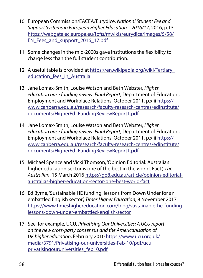- 10 European Commission/EACEA/Eurydice, *National Student Fee and Support Systems in European Higher Education – 2016/17*, 2016, p.13 [https://webgate.ec.europa.eu/fpfis/mwikis/eurydice/images/5/58/](https://webgate.ec.europa.eu/fpfis/mwikis/eurydice/images/5/58/EN_Fees_and_support_2016_17.pdf) [EN\\_Fees\\_and\\_support\\_2016\\_17.pdf](https://webgate.ec.europa.eu/fpfis/mwikis/eurydice/images/5/58/EN_Fees_and_support_2016_17.pdf)
- 11 Some changes in the mid-2000s gave institutions the flexibility to charge less than the full student contribution.
- 12 A useful table is provided at [https://en.wikipedia.org/wiki/Tertiary\\_](https://en.wikipedia.org/wiki/Tertiary_education_fees_in_Australia) education fees in Australia
- 13 Jane Lomax-Smith, Louise Watson and Beth Webster, *Higher education base funding review: Final Report*, Department of Education, Employment and Workplace Relations, October 2011, p.xiii [https://](https://www.canberra.edu.au/research/faculty-research-centres/edinstitute/documents/HigherEd_FundingReviewReport1.pdf) [www.canberra.edu.au/research/faculty-research-centres/edinstitute/](https://www.canberra.edu.au/research/faculty-research-centres/edinstitute/documents/HigherEd_FundingReviewReport1.pdf) [documents/HigherEd\\_FundingReviewReport1.pdf](https://www.canberra.edu.au/research/faculty-research-centres/edinstitute/documents/HigherEd_FundingReviewReport1.pdf)
- 14 Jane Lomax-Smith, Louise Watson and Beth Webster, *Higher education base funding review: Final Report*, Department of Education, Employment and Workplace Relations, October 2011, p.xiii [https://](https://www.canberra.edu.au/research/faculty-research-centres/edinstitute/documents/HigherEd_FundingReviewReport1.pdf) [www.canberra.edu.au/research/faculty-research-centres/edinstitute/](https://www.canberra.edu.au/research/faculty-research-centres/edinstitute/documents/HigherEd_FundingReviewReport1.pdf) [documents/HigherEd\\_FundingReviewReport1.pdf](https://www.canberra.edu.au/research/faculty-research-centres/edinstitute/documents/HigherEd_FundingReviewReport1.pdf)
- 15 Michael Spence and Vicki Thomson, 'Opinion Editorial: Australia's higher education sector is one of the best in the world. Fact.', *The Australian*, 15 March 2016 [https://go8.edu.au/article/opinion-editorial](https://go8.edu.au/article/opinion-editorial-australias-higher-education-sector-one-best-world-fact)[australias-higher-education-sector-one-best-world-fact](https://go8.edu.au/article/opinion-editorial-australias-higher-education-sector-one-best-world-fact)
- 16 Ed Byrne, 'Sustainable HE funding: lessons from Down Under for an embattled English sector', *Times Higher Education*, 8 November 2017 [https://www.timeshighereducation.com/blog/sustainable-he-funding](https://www.timeshighereducation.com/blog/sustainable-he-funding-lessons-down-under-embattled-english-sector)[lessons-down-under-embattled-english-sector](https://www.timeshighereducation.com/blog/sustainable-he-funding-lessons-down-under-embattled-english-sector)
- 17 See, for example, UCU, *Privatising Our Universities: A UCU report on the new cross-party consensus and the Americanisation of UK higher education*, February 2010 [https://www.ucu.org.uk/](https://www.ucu.org.uk/media/3791/Privatising-our-universities-Feb-10/pdf/ucu_privatisingouruniversities_feb10.pdf) [media/3791/Privatising-our-universities-Feb-10/pdf/ucu\\_](https://www.ucu.org.uk/media/3791/Privatising-our-universities-Feb-10/pdf/ucu_privatisingouruniversities_feb10.pdf) [privatisingouruniversities\\_feb10.pdf](https://www.ucu.org.uk/media/3791/Privatising-our-universities-Feb-10/pdf/ucu_privatisingouruniversities_feb10.pdf)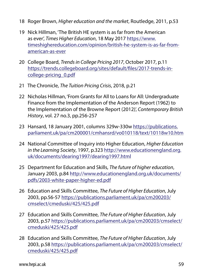- 18 Roger Brown, *Higher education and the market*, Routledge, 2011, p.53
- 19 Nick Hillman, 'The British HE system is as far from the American as ever', *Times Higher Education*, 18 May 2017 [https://www.](https://www.timeshighereducation.com/opinion/british-he-system-is-as-far-from-american-as-ever) [timeshighereducation.com/opinion/british-he-system-is-as-far-from](https://www.timeshighereducation.com/opinion/british-he-system-is-as-far-from-american-as-ever)[american-as-ever](https://www.timeshighereducation.com/opinion/british-he-system-is-as-far-from-american-as-ever)
- 20 College Board, *Trends in College Pricing 2017*, October 2017, p.11 [https://trends.collegeboard.org/sites/default/files/2017-trends-in](https://trends.collegeboard.org/sites/default/files/2017-trends-in-college-pricing_0.pdf)[college-pricing\\_0.pdf](https://trends.collegeboard.org/sites/default/files/2017-trends-in-college-pricing_0.pdf)
- 21 The Chronicle, *The Tuition Pricing Crisis*, 2018, p.21
- 22 Nicholas Hillman, 'From Grants for All to Loans for All: Undergraduate Finance from the Implementation of the Anderson Report (1962) to the Implementation of the Browne Report (2012)', *Contemporary British History*, vol. 27 no.3, pp.256-257
- 23 [Hansard, 18 January 2001, columns 329w-330w https://publications.](https://publications.parliament.uk/pa/cm200001/cmhansrd/vo010118/text/10118w10.htm) [parliament.uk/pa/cm200001/cmhansrd/vo010118/text/10118w10.htm](https://publications.parliament.uk/pa/cm200001/cmhansrd/vo010118/text/10118w10.htm)
- 24 National Committee of Inquiry into Higher Education, *Higher Education in the Learning Society*, 1997, p.323 [http://www.educationengland.org.](http://www.educationengland.org.uk/documents/dearing1997/dearing1997.html) [uk/documents/dearing1997/dearing1997.html](http://www.educationengland.org.uk/documents/dearing1997/dearing1997.html)
- 25 Department for Education and Skills, *The future of higher education*, January 2003, p.84 [http://www.educationengland.org.uk/documents/](http://www.educationengland.org.uk/documents/pdfs/2003-white-paper-higher-ed.pdf) [pdfs/2003-white-paper-higher-ed.pdf](http://www.educationengland.org.uk/documents/pdfs/2003-white-paper-higher-ed.pdf)
- 26 Education and Skills Committee, *The Future of Higher Education*, July 2003, pp.56-57 [https://publications.parliament.uk/pa/cm200203/](https://publications.parliament.uk/pa/cm200203/cmselect/cmeduski/425/425.pdf) [cmselect/cmeduski/425/425.pdf](https://publications.parliament.uk/pa/cm200203/cmselect/cmeduski/425/425.pdf)
- 27 Education and Skills Committee, *The Future of Higher Education*, July 2003, p.57 [https://publications.parliament.uk/pa/cm200203/cmselect/](https://publications.parliament.uk/pa/cm200203/cmselect/cmeduski/425/425.pdf) [cmeduski/425/425.pdf](https://publications.parliament.uk/pa/cm200203/cmselect/cmeduski/425/425.pdf)
- 28 Education and Skills Committee, *The Future of Higher Education*, July 2003, p.58 [https://publications.parliament.uk/pa/cm200203/cmselect/](https://publications.parliament.uk/pa/cm200203/cmselect/cmeduski/425/425.pdf) [cmeduski/425/425.pdf](https://publications.parliament.uk/pa/cm200203/cmselect/cmeduski/425/425.pdf)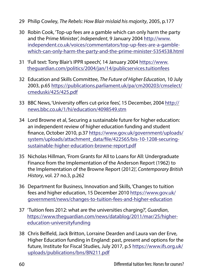- 29 Philip Cowley, *The Rebels: How Blair mislaid his majority*, 2005, p.177
- 30 Robin Cook, 'Top-up fees are a gamble which can only harm the party and the Prime Minister', *Independent*, 9 January 2004 [http://www.](http://www.independent.co.uk/voices/commentators/top-up-fees-are-a-gamble-which-can-only-harm-the-party-and-the-prime-minister-5354538.html) [independent.co.uk/voices/commentators/top-up-fees-are-a-gamble](http://www.independent.co.uk/voices/commentators/top-up-fees-are-a-gamble-which-can-only-harm-the-party-and-the-prime-minister-5354538.html)[which-can-only-harm-the-party-and-the-prime-minister-5354538.html](http://www.independent.co.uk/voices/commentators/top-up-fees-are-a-gamble-which-can-only-harm-the-party-and-the-prime-minister-5354538.html)
- 31 'Full text: Tony Blair's IPPR speech', 14 January 2004 [https://www.](https://www.theguardian.com/politics/2004/jan/14/publicservices.tuitionfees) [theguardian.com/politics/2004/jan/14/publicservices.tuitionfees](https://www.theguardian.com/politics/2004/jan/14/publicservices.tuitionfees)
- 32 Education and Skills Committee, *The Future of Higher Education*, 10 July 2003, p.65 [https://publications.parliament.uk/pa/cm200203/cmselect/](https://publications.parliament.uk/pa/cm200203/cmselect/cmeduski/425/425.pdf) [cmeduski/425/425.pdf](https://publications.parliament.uk/pa/cm200203/cmselect/cmeduski/425/425.pdf)
- 33 BBC News, 'University offers cut-price fees', 15 December, 2004 [http://](http://news.bbc.co.uk/1/hi/education/4098549.stm) [news.bbc.co.uk/1/hi/education/4098549.stm](http://news.bbc.co.uk/1/hi/education/4098549.stm)
- 34 Lord Browne et al, Securing a sustainable future for higher education: an independent review of higher education funding and student finance, October 2010, p.37 [https://www.gov.uk/government/uploads/](https://www.gov.uk/government/uploads/system/uploads/attachment_data/file/422565/bis-10-1208-securing-sustainable-higher-education-browne-report.pdf) [system/uploads/attachment\\_data/file/422565/bis-10-1208-securing](https://www.gov.uk/government/uploads/system/uploads/attachment_data/file/422565/bis-10-1208-securing-sustainable-higher-education-browne-report.pdf)[sustainable-higher-education-browne-report.pdf](https://www.gov.uk/government/uploads/system/uploads/attachment_data/file/422565/bis-10-1208-securing-sustainable-higher-education-browne-report.pdf)
- 35 Nicholas Hillman, 'From Grants for All to Loans for All: Undergraduate Finance from the Implementation of the Anderson Report (1962) to the Implementation of the Browne Report (2012)', *Contemporary British History*, vol. 27 no.3, p.262
- 36 Department for Business, Innovation and Skills, 'Changes to tuition fees and higher education, 15 December 2010 [https://www.gov.uk/](https://www.gov.uk/government/news/changes-to-tuition-fees-and-higher-education) [government/news/changes-to-tuition-fees-and-higher-education](https://www.gov.uk/government/news/changes-to-tuition-fees-and-higher-education)
- 37 'Tuition fees 2012: what are the universities charging?', *Guardian*, [https://www.theguardian.com/news/datablog/2011/mar/25/higher](https://www.theguardian.com/news/datablog/2011/mar/25/higher-education-universityfunding)[education-universityfunding](https://www.theguardian.com/news/datablog/2011/mar/25/higher-education-universityfunding)
- 38 Chris Belfield, Jack Britton, Lorraine Dearden and Laura van der Erve, Higher Education funding in England: past, present and options for the future, Institute for Fiscal Studies, July 2017, p.5 [https://www.ifs.org.uk/](https://www.ifs.org.uk/uploads/publications/bns/BN211.pdf) [uploads/publications/bns/BN211.pdf](https://www.ifs.org.uk/uploads/publications/bns/BN211.pdf)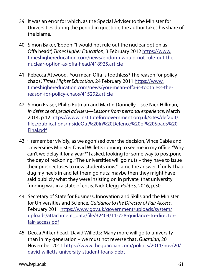- 39 It was an error for which, as the Special Adviser to the Minister for Universities during the period in question, the author takes his share of the blame.
- 40 Simon Baker, 'Ebdon: "I would not rule out the nuclear option as Offa head"', *Times Higher Education*, 3 February 2012 [https://www.](https://www.timeshighereducation.com/news/ebdon-i-would-not-rule-out-the-nuclear-option-as-offa-head/418925.article) [timeshighereducation.com/news/ebdon-i-would-not-rule-out-the](https://www.timeshighereducation.com/news/ebdon-i-would-not-rule-out-the-nuclear-option-as-offa-head/418925.article)[nuclear-option-as-offa-head/418925.article](https://www.timeshighereducation.com/news/ebdon-i-would-not-rule-out-the-nuclear-option-as-offa-head/418925.article)
- 41 Rebecca Attwood, 'You mean Offa is toothless? The reason for policy chaos', *Times Higher Education*, 24 February 2011 [https://www.](https://www.timeshighereducation.com/news/you-mean-offa-is-toothless-the-reason-for-policy-chaos/415292.article) [timeshighereducation.com/news/you-mean-offa-is-toothless-the](https://www.timeshighereducation.com/news/you-mean-offa-is-toothless-the-reason-for-policy-chaos/415292.article)[reason-for-policy-chaos/415292.article](https://www.timeshighereducation.com/news/you-mean-offa-is-toothless-the-reason-for-policy-chaos/415292.article)
- 42 Simon Fraser, Philip Rutman and Martin Donnelly see Nick Hillman, *In defence of special advisers—Lessons from personal experience*, March 2014, p.12 [https://www.instituteforgovernment.org.uk/sites/default/](https://www.instituteforgovernment.org.uk/sites/default/files/publications/InsideOut%20In%20Defence%20of%20Spads%20Final.pdf) [files/publications/InsideOut%20In%20Defence%20of%20Spads%20](https://www.instituteforgovernment.org.uk/sites/default/files/publications/InsideOut%20In%20Defence%20of%20Spads%20Final.pdf) [Final.pdf](https://www.instituteforgovernment.org.uk/sites/default/files/publications/InsideOut%20In%20Defence%20of%20Spads%20Final.pdf)
- 43 'I remember vividly, as we agonised over the decision, Vince Cable and Universities Minister David Willetts coming to see me in my office. "Why can't we delay it for a year?" I asked, looking for some way to postpone the day of reckoning. "The universities will go nuts – they have to issue their prospectuses to new students now," came the answer. If only I had dug my heels in and let them go nuts: maybe then they might have said publicly what they were insisting on in private, that university funding was in a state of crisis.' Nick Clegg, *Politics*, 2016, p.30
- 44 Secretary of State for Business, Innovation and Skills and the Minister for Universities and Science, *Guidance to the Director of Fair Access*, February 2011 [https://www.gov.uk/government/uploads/system/](https://www.gov.uk/government/uploads/system/uploads/attachment_data/file/32404/11-728-guidance-to-director-fair-access.pdf) [uploads/attachment\\_data/file/32404/11-728-guidance-to-director](https://www.gov.uk/government/uploads/system/uploads/attachment_data/file/32404/11-728-guidance-to-director-fair-access.pdf)[fair-access.pdf](https://www.gov.uk/government/uploads/system/uploads/attachment_data/file/32404/11-728-guidance-to-director-fair-access.pdf)
- 45 Decca Aitkenhead, 'David Willetts: 'Many more will go to university than in my generation – we must not reverse that', *Guardian*, 20 November 2011 [https://www.theguardian.com/politics/2011/nov/20/](https://www.theguardian.com/politics/2011/nov/20/david-willetts-university-student-loans-debt) [david-willetts-university-student-loans-debt](https://www.theguardian.com/politics/2011/nov/20/david-willetts-university-student-loans-debt)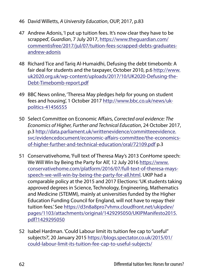- 46 David Willetts, *A University Education*, OUP, 2017, p.83
- 47 Andrew Adonis, 'I put up tuition fees. It's now clear they have to be scrapped', *Guardian*, 7 July 2017, [https://www.theguardian.com/](https://www.theguardian.com/commentisfree/2017/jul/07/tuition-fees-scrapped-debts-graduates-andrew-adonis) [commentisfree/2017/jul/07/tuition-fees-scrapped-debts-graduates](https://www.theguardian.com/commentisfree/2017/jul/07/tuition-fees-scrapped-debts-graduates-andrew-adonis)[andrew-adonis](https://www.theguardian.com/commentisfree/2017/jul/07/tuition-fees-scrapped-debts-graduates-andrew-adonis)
- 48 Richard Tice and Tariq Al-Humaidhi, Defusing the debt timebomb: A fair deal for students and the taxpayer, October 2010, p.6 [http://www.](http://www.uk2020.org.uk/wp-content/uploads/2017/10/UK2020-Defusing-the-Debt-Timebomb-report.pdf) [uk2020.org.uk/wp-content/uploads/2017/10/UK2020-Defusing-the-](http://www.uk2020.org.uk/wp-content/uploads/2017/10/UK2020-Defusing-the-Debt-Timebomb-report.pdf)[Debt-Timebomb-report.pdf](http://www.uk2020.org.uk/wp-content/uploads/2017/10/UK2020-Defusing-the-Debt-Timebomb-report.pdf)
- 49 BBC News online, 'Theresa May pledges help for young on student fees and housing', 1 October 2017 [http://www.bbc.co.uk/news/uk](http://www.bbc.co.uk/news/uk-politics-41456555)[politics-41456555](http://www.bbc.co.uk/news/uk-politics-41456555)
- 50 Select Committee on Economic Affairs, *Corrected oral evidence: The Economics of Higher, Further and Technical Education*, 24 October 2017, p.3 [http://data.parliament.uk/writtenevidence/committeeevidence.](http://data.parliament.uk/writtenevidence/committeeevidence.svc/evidencedocument/economic-affairs-committee/the-economics-of-higher-further-and-technical-education/oral/72109.pdf) [svc/evidencedocument/economic-affairs-committee/the-economics](http://data.parliament.uk/writtenevidence/committeeevidence.svc/evidencedocument/economic-affairs-committee/the-economics-of-higher-further-and-technical-education/oral/72109.pdf)[of-higher-further-and-technical-education/oral/72109.pdf](http://data.parliament.uk/writtenevidence/committeeevidence.svc/evidencedocument/economic-affairs-committee/the-economics-of-higher-further-and-technical-education/oral/72109.pdf) p.3
- 51 Conservativehome, 'Full text of Theresa May's 2013 ConHome speech: We Will Win by Being the Party for All', 12 July 2016 [https://www.](https://www.conservativehome.com/platform/2016/07/full-text-of-theresa-mays-speech-we-will-win-by-being-the-party-for-all.html) [conservativehome.com/platform/2016/07/full-text-of-theresa-mays](https://www.conservativehome.com/platform/2016/07/full-text-of-theresa-mays-speech-we-will-win-by-being-the-party-for-all.html)[speech-we-will-win-by-being-the-party-for-all.html.](https://www.conservativehome.com/platform/2016/07/full-text-of-theresa-mays-speech-we-will-win-by-being-the-party-for-all.html) UKIP had a comparable policy at the 2015 and 2017 Elections: 'UK students taking approved degrees in Science, Technology, Engineering, Mathematics and Medicine (STEMM), mainly at universities funded by the Higher Education Funding Council for England, will not have to repay their tuition fees.' See [https://d3n8a8pro7vhmx.cloudfront.net/ukipdev/](https://d3n8a8pro7vhmx.cloudfront.net/ukipdev/pages/1103/attachments/original/1429295050/UKIPManifesto2015.pdf?1429295050) [pages/1103/attachments/original/1429295050/UKIPManifesto2015.](https://d3n8a8pro7vhmx.cloudfront.net/ukipdev/pages/1103/attachments/original/1429295050/UKIPManifesto2015.pdf?1429295050) [pdf?1429295050](https://d3n8a8pro7vhmx.cloudfront.net/ukipdev/pages/1103/attachments/original/1429295050/UKIPManifesto2015.pdf?1429295050)
- 52 Isabel Hardman. 'Could Labour limit its tuition fee cap to "useful" subjects?', 20 January 2015 [https://blogs.spectator.co.uk/2015/01/](https://blogs.spectator.co.uk/2015/01/could-labour-limit-its-tuition-fee-cap-to-useful-subjects/) [could-labour-limit-its-tuition-fee-cap-to-useful-subjects/](https://blogs.spectator.co.uk/2015/01/could-labour-limit-its-tuition-fee-cap-to-useful-subjects/)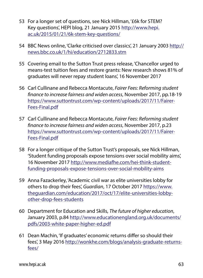- 53 For a longer set of questions, see Nick Hillman, '£6k for STEM? Key questions', HEPI blog, 21 January 2015 [http://www.hepi.](http://www.hepi.ac.uk/2015/01/21/6k-stem-key-questions/) [ac.uk/2015/01/21/6k-stem-key-questions/](http://www.hepi.ac.uk/2015/01/21/6k-stem-key-questions/)
- 54 BBC News online, 'Clarke criticised over classics', 21 January 2003 [http://](http://news.bbc.co.uk/1/hi/education/2712833.stm) [news.bbc.co.uk/1/hi/education/2712833.stm](http://news.bbc.co.uk/1/hi/education/2712833.stm)
- 55 Covering email to the Sutton Trust press release, 'Chancellor urged to means-test tuition fees and restore grants: New research shows 81% of graduates will never repay student loans', 16 November 2017
- 56 Carl Cullinane and Rebecca Montacute, *Fairer Fees: Reforming student finance to increase fairness and widen access*, November 2017, pp.18-19 [https://www.suttontrust.com/wp-content/uploads/2017/11/Fairer-](https://www.suttontrust.com/wp-content/uploads/2017/11/Fairer-Fees-Final.pdf)[Fees-Final.pdf](https://www.suttontrust.com/wp-content/uploads/2017/11/Fairer-Fees-Final.pdf)
- 57 Carl Cullinane and Rebecca Montacute, *Fairer Fees: Reforming student finance to increase fairness and widen access*, November 2017, p.23 [https://www.suttontrust.com/wp-content/uploads/2017/11/Fairer-](https://www.suttontrust.com/wp-content/uploads/2017/11/Fairer-Fees-Final.pdf)[Fees-Final.pdf](https://www.suttontrust.com/wp-content/uploads/2017/11/Fairer-Fees-Final.pdf)
- 58 For a longer critique of the Sutton Trust's proposals, see Nick Hillman, 'Student funding proposals expose tensions over social mobility aims', 16 November 2017 [http://www.mediafhe.com/hei-think-student](http://www.mediafhe.com/hei-think-student-funding-proposals-expose-tensions-over-social-mobility-aims)[funding-proposals-expose-tensions-over-social-mobility-aims](http://www.mediafhe.com/hei-think-student-funding-proposals-expose-tensions-over-social-mobility-aims)
- 59 Anna Fazackerley, 'Academic civil war as elite universities lobby for others to drop their fees', *Guardian*, 17 October 2017 [https://www.](https://www.theguardian.com/education/2017/oct/17/elite-universities-lobby-other-drop-fees-students) [theguardian.com/education/2017/oct/17/elite-universities-lobby](https://www.theguardian.com/education/2017/oct/17/elite-universities-lobby-other-drop-fees-students)[other-drop-fees-students](https://www.theguardian.com/education/2017/oct/17/elite-universities-lobby-other-drop-fees-students)
- 60 Department for Education and Skills, *The future of higher education*, January 2003, p.84 [http://www.educationengland.org.uk/documents/](http://www.educationengland.org.uk/documents/pdfs/2003-white-paper-higher-ed.pdf) [pdfs/2003-white-paper-higher-ed.pdf](http://www.educationengland.org.uk/documents/pdfs/2003-white-paper-higher-ed.pdf)
- 61 Dean Machin, 'If graduates' economic returns differ so should their fees', 3 May 2016 [http://wonkhe.com/blogs/analysis-graduate-returns](http://wonkhe.com/blogs/analysis-graduate-returns-fees/)[fees/](http://wonkhe.com/blogs/analysis-graduate-returns-fees/)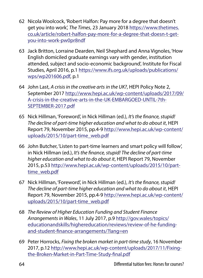- 62 Nicola Woolcock, 'Robert Halfon: Pay more for a degree that doesn't get you into work', *The Times*, 23 January 2018 [https://www.thetimes.](https://www.thetimes.co.uk/article/robert-halfon-pay-more-for-a-degree-that-doesn-t-get-you-into-work-pw0pr8ndf) [co.uk/article/robert-halfon-pay-more-for-a-degree-that-doesn-t-get](https://www.thetimes.co.uk/article/robert-halfon-pay-more-for-a-degree-that-doesn-t-get-you-into-work-pw0pr8ndf)[you-into-work-pw0pr8ndf](https://www.thetimes.co.uk/article/robert-halfon-pay-more-for-a-degree-that-doesn-t-get-you-into-work-pw0pr8ndf)
- 63 Jack Britton, Lorraine Dearden, Neil Shephard and Anna Vignoles, 'How English domiciled graduate earnings vary with gender, institution attended, subject and socio-economic background', Institute for Fiscal Studies, April 2016, p.1 [https://www.ifs.org.uk/uploads/publications/](https://www.ifs.org.uk/uploads/publications/wps/wp201606.pdf) [wps/wp201606.pdf,](https://www.ifs.org.uk/uploads/publications/wps/wp201606.pdf) p.1
- 64 John Last, *A crisis in the creative arts in the UK?*, HEPI Policy Note 2, September 2017 [http://www.hepi.ac.uk/wp-content/uploads/2017/09/](http://www.hepi.ac.uk/wp-content/uploads/2017/09/A-crisis-in-the-creative-arts-in-the-UK-EMBARGOED-UNTIL-7th-SEPTEMBER-2017.pdf) [A-crisis-in-the-creative-arts-in-the-UK-EMBARGOED-UNTIL-7th-](http://www.hepi.ac.uk/wp-content/uploads/2017/09/A-crisis-in-the-creative-arts-in-the-UK-EMBARGOED-UNTIL-7th-SEPTEMBER-2017.pdf)[SEPTEMBER-2017.pdf](http://www.hepi.ac.uk/wp-content/uploads/2017/09/A-crisis-in-the-creative-arts-in-the-UK-EMBARGOED-UNTIL-7th-SEPTEMBER-2017.pdf)
- 65 Nick Hillman, 'Foreword', in Nick Hillman (ed.), *It's the finance, stupid! The decline of part-time higher education and what to do about it*, HEPI Report 79, November 2015, pp.4-9 [http://www.hepi.ac.uk/wp-content/](http://www.hepi.ac.uk/wp-content/uploads/2015/10/part-time_web.pdf) [uploads/2015/10/part-time\\_web.pdf](http://www.hepi.ac.uk/wp-content/uploads/2015/10/part-time_web.pdf)
- 66 John Butcher, 'Listen to part-time learners and smart policy will follow', in Nick Hillman (ed.), *It's the finance, stupid! The decline of part-time higher education and what to do about it*, HEPI Report 79, November 2015, p.53 [http://www.hepi.ac.uk/wp-content/uploads/2015/10/part](http://www.hepi.ac.uk/wp-content/uploads/2015/10/part-time_web.pdf)[time\\_web.pdf](http://www.hepi.ac.uk/wp-content/uploads/2015/10/part-time_web.pdf)
- 67 Nick Hillman, 'Foreword', in Nick Hillman (ed.), *It's the finance, stupid! The decline of part-time higher education and what to do about it*, HEPI Report 79, November 2015, pp.4-9 [http://www.hepi.ac.uk/wp-content/](http://www.hepi.ac.uk/wp-content/uploads/2015/10/part-time_web.pdf) [uploads/2015/10/part-time\\_web.pdf](http://www.hepi.ac.uk/wp-content/uploads/2015/10/part-time_web.pdf)
- 68 *The Review of Higher Education Funding and Student Finance Arrangements in Wales*, 11 July 2017, p.9 [http://gov.wales/topics/](http://gov.wales/topics/educationandskills/highereducation/reviews/review-of-he-funding-and-student-finance-arrangements/?lang=en) [educationandskills/highereducation/reviews/review-of-he-funding](http://gov.wales/topics/educationandskills/highereducation/reviews/review-of-he-funding-and-student-finance-arrangements/?lang=en)[and-student-finance-arrangements/?lang=en](http://gov.wales/topics/educationandskills/highereducation/reviews/review-of-he-funding-and-student-finance-arrangements/?lang=en)
- 69 Peter Horrocks, *Fixing the broken market in part-time study*, 16 November 2017, p.12 [http://www.hepi.ac.uk/wp-content/uploads/2017/11/Fixing](http://www.hepi.ac.uk/wp-content/uploads/2017/11/Fixing-the-Broken-Market-in-Part-Time-Study-final.pdf)[the-Broken-Market-in-Part-Time-Study-final.pdf](http://www.hepi.ac.uk/wp-content/uploads/2017/11/Fixing-the-Broken-Market-in-Part-Time-Study-final.pdf)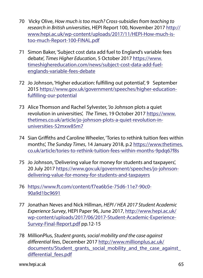- 70 Vicky Olive, *How much is too much? Cross-subsidies from teaching to research in British universities*, HEPI Report 100, November 2017 [http://](http://www.hepi.ac.uk/wp-content/uploads/2017/11/HEPI-How-much-is-too-much-Report-100-FINAL.pdf) [www.hepi.ac.uk/wp-content/uploads/2017/11/HEPI-How-much-is](http://www.hepi.ac.uk/wp-content/uploads/2017/11/HEPI-How-much-is-too-much-Report-100-FINAL.pdf)[too-much-Report-100-FINAL.pdf](http://www.hepi.ac.uk/wp-content/uploads/2017/11/HEPI-How-much-is-too-much-Report-100-FINAL.pdf)
- 71 Simon Baker, 'Subject cost data add fuel to England's variable fees debate', *Times Higher Education*, 5 October 2017 [https://www.](https://www.timeshighereducation.com/news/subject-cost-data-add-fuel-englands-variable-fees-debate) [timeshighereducation.com/news/subject-cost-data-add-fuel](https://www.timeshighereducation.com/news/subject-cost-data-add-fuel-englands-variable-fees-debate)[englands-variable-fees-debate](https://www.timeshighereducation.com/news/subject-cost-data-add-fuel-englands-variable-fees-debate)
- 72 Jo Johnson, 'Higher education: fulfilling out potential', 9 September 2015 [https://www.gov.uk/government/speeches/higher-education](https://www.gov.uk/government/speeches/higher-education-fulfilling-our-potential)[fulfilling-our-potential](https://www.gov.uk/government/speeches/higher-education-fulfilling-our-potential)
- 73 Alice Thomson and Rachel Sylvester, 'Jo Johnson plots a quiet revolution in universities', *The Times*, 19 October 2017 [https://www.](https://www.thetimes.co.uk/article/jo-johnson-plots-a-quiet-revolution-in-universities-52mxw85m7) [thetimes.co.uk/article/jo-johnson-plots-a-quiet-revolution-in](https://www.thetimes.co.uk/article/jo-johnson-plots-a-quiet-revolution-in-universities-52mxw85m7)[universities-52mxw85m7](https://www.thetimes.co.uk/article/jo-johnson-plots-a-quiet-revolution-in-universities-52mxw85m7)
- 74 Sian Griffiths and Caroline Wheeler, 'Tories to rethink tuition fees within months', *The Sunday Times*, 14 January 2018, p.2 [https://www.thetimes.](https://www.thetimes.co.uk/article/tories-to-rethink-tuition-fees-within-months-9pdq67f8s) [co.uk/article/tories-to-rethink-tuition-fees-within-months-9pdq67f8s](https://www.thetimes.co.uk/article/tories-to-rethink-tuition-fees-within-months-9pdq67f8s)
- 75 Jo Johnson, 'Delivering value for money for students and taxpayers', 20 July 2017 [https://www.gov.uk/government/speeches/jo-johnson](https://www.gov.uk/government/speeches/jo-johnson-delivering-value-for-money-for-students-and-taxpayers)[delivering-value-for-money-for-students-and-taxpayers](https://www.gov.uk/government/speeches/jo-johnson-delivering-value-for-money-for-students-and-taxpayers)
- 76 [https://www.ft.com/content/f7ea6b5e-75d6-11e7-90c0-](https://www.ft.com/content/f7ea6b5e-75d6-11e7-90c0-90a9d1bc9691) [90a9d1bc9691](https://www.ft.com/content/f7ea6b5e-75d6-11e7-90c0-90a9d1bc9691)
- 77 Jonathan Neves and Nick Hillman, *HEPI / HEA 2017 Student Academic Experience Survey*, HEPI Paper 96, June 2017, [http://www.hepi.ac.uk/](http://www.hepi.ac.uk/wp-content/uploads/2017/06/2017-Student-Academic-Experience-Survey-Final-Report.pdf) [wp-content/uploads/2017/06/2017-Student-Academic-Experience-](http://www.hepi.ac.uk/wp-content/uploads/2017/06/2017-Student-Academic-Experience-Survey-Final-Report.pdf)[Survey-Final-Report.pdf](http://www.hepi.ac.uk/wp-content/uploads/2017/06/2017-Student-Academic-Experience-Survey-Final-Report.pdf) pp.12-15
- 78 MillionPlus, *Student grants, social mobility and the case against differential fees*, December 2017 [http://www.millionplus.ac.uk/](http://www.millionplus.ac.uk/documents/Student_grants,_social_mobility_and_the_case_against_differential_fees.pdf) documents/Student grants, social mobility and the case against differential fees.pdf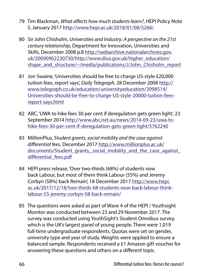- 79 Tim Blackman, *What affects how much students learn?*, HEPI Policy Note 5, January 2017 <http://www.hepi.ac.uk/2018/01/08/5266/>
- 80 Sir John Chisholm, *Universities and Industry: A perspective on the 21st century relationship*, Department for Innovation, Universities and Skills, December 2008 p.8 [http://webarchive.nationalarchives.gov.](http://webarchive.nationalarchives.gov.uk/20090902230730/http://www.dius.gov.uk/higher_education/shape_and_structure/~/media/publications/J/John_Chisholm_report) [uk/20090902230730/http://www.dius.gov.uk/higher\\_education/](http://webarchive.nationalarchives.gov.uk/20090902230730/http://www.dius.gov.uk/higher_education/shape_and_structure/~/media/publications/J/John_Chisholm_report) shape and structure/~/media/publications/J/John Chisholm report
- 81 Jon Swaine, 'Universities should be free to charge US-style £20,000 tuition fees, report says', *Daily Telegraph*, 28 December 2008 [http://](http://www.telegraph.co.uk/education/universityeducation/3998514/Universities-should-be-free-to-charge-US-style-20000-tuition-fees-report-says.html) [www.telegraph.co.uk/education/universityeducation/3998514/](http://www.telegraph.co.uk/education/universityeducation/3998514/Universities-should-be-free-to-charge-US-style-20000-tuition-fees-report-says.html) [Universities-should-be-free-to-charge-US-style-20000-tuition-fees](http://www.telegraph.co.uk/education/universityeducation/3998514/Universities-should-be-free-to-charge-US-style-20000-tuition-fees-report-says.html)[report-says.html](http://www.telegraph.co.uk/education/universityeducation/3998514/Universities-should-be-free-to-charge-US-style-20000-tuition-fees-report-says.html)
- 82 ABC, 'UWA to hike fees 30 per cent if deregulation gets green light', 23 September 2014 [http://www.abc.net.au/news/2014-09-23/uwa-to](http://www.abc.net.au/news/2014-09-23/uwa-to-hike-fees-30-per-cent-if-deregulation-gets-green-light/5762240)[hike-fees-30-per-cent-if-deregulation-gets-green-light/5762240](http://www.abc.net.au/news/2014-09-23/uwa-to-hike-fees-30-per-cent-if-deregulation-gets-green-light/5762240)
- 83 MillionPlus, *Student grants, social mobility and the case against differential fees*, December 2017 [http://www.millionplus.ac.uk/](http://www.millionplus.ac.uk/documents/Student_grants,_social_mobility_and_the_case_against_differential_fees.pdf) documents/Student grants, social mobility and the case against differential fees.pdf
- 84 HEPI press release, 'Over two-thirds (68%) of students now back Labour, but most of them think Labour (55%) and Jeremy Corbyn (58%) back Remain', 18 December 2017 [http://www.hepi.](http://www.hepi.ac.uk/2017/12/18/two-thirds-68-students-now-back-labour-think-labour-55-jeremy-corbyn-58-back-remain/) [ac.uk/2017/12/18/two-thirds-68-students-now-back-labour-think](http://www.hepi.ac.uk/2017/12/18/two-thirds-68-students-now-back-labour-think-labour-55-jeremy-corbyn-58-back-remain/)[labour-55-jeremy-corbyn-58-back-remain/](http://www.hepi.ac.uk/2017/12/18/two-thirds-68-students-now-back-labour-think-labour-55-jeremy-corbyn-58-back-remain/)
- 85 The questions were asked as part of Wave 4 of the HEPI / Youthsight Monitor was conducted between 23 and 29 November 2017. The survey was conducted using YouthSight's Student Omnibus survey, which is the UK's largest panel of young people. There were 1,019 full-time undergraduate respondents. Quotas were set on gender, university type and year of study. Weights were applied to ensure a balanced sample. Respondents received a £1 Amazon gift voucher for answering these questions and others on a different topic.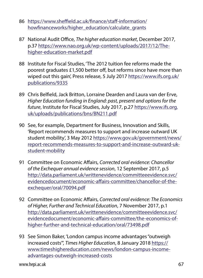- 86 [https://www.sheffield.ac.uk/finance/staff-information/](https://www.sheffield.ac.uk/finance/staff-information/howfinanceworks/higher_education/calculate_grants) [howfinanceworks/higher\\_education/calculate\\_grants](https://www.sheffield.ac.uk/finance/staff-information/howfinanceworks/higher_education/calculate_grants)
- 87 National Audit Office, *The higher education market*, December 2017, p.37 [https://www.nao.org.uk/wp-content/uploads/2017/12/The](https://www.nao.org.uk/wp-content/uploads/2017/12/The-higher-education-market.pdf)[higher-education-market.pdf](https://www.nao.org.uk/wp-content/uploads/2017/12/The-higher-education-market.pdf)
- 88 Institute for Fiscal Studies, 'The 2012 tuition fee reforms made the poorest graduates £1,500 better off, but reforms since have more than wiped out this gain', Press release, 5 July 2017 [https://www.ifs.org.uk/](https://www.ifs.org.uk/publications/9335) [publications/9335](https://www.ifs.org.uk/publications/9335)
- 89 Chris Belfield, Jack Britton, Lorraine Dearden and Laura van der Erve, *Higher Education funding in England: past, present and options for the future*, Institute for Fiscal Studies, July 2017, p.27 [https://www.ifs.org.](https://www.ifs.org.uk/uploads/publications/bns/BN211.pdf) [uk/uploads/publications/bns/BN211.pdf](https://www.ifs.org.uk/uploads/publications/bns/BN211.pdf)
- 90 See, for example, Department for Business, Innovation and Skills, 'Report recommends measures to support and increase outward UK student mobility', 3 May 2012 [https://www.gov.uk/government/news/](https://www.gov.uk/government/news/report-recommends-measures-to-support-and-increase-outward-uk-student-mobility) [report-recommends-measures-to-support-and-increase-outward-uk](https://www.gov.uk/government/news/report-recommends-measures-to-support-and-increase-outward-uk-student-mobility)[student-mobility](https://www.gov.uk/government/news/report-recommends-measures-to-support-and-increase-outward-uk-student-mobility)
- 91 Committee on Economic Affairs, *Corrected oral evidence: Chancellor of the Exchequer annual evidence session*, 12 September 2017, p.5 [http://data.parliament.uk/writtenevidence/committeeevidence.svc/](http://data.parliament.uk/writtenevidence/committeeevidence.svc/evidencedocument/economic-affairs-committee/chancellor-of-the-exchequer/oral/70094.pdf) [evidencedocument/economic-affairs-committee/chancellor-of-the](http://data.parliament.uk/writtenevidence/committeeevidence.svc/evidencedocument/economic-affairs-committee/chancellor-of-the-exchequer/oral/70094.pdf)[exchequer/oral/70094.pdf](http://data.parliament.uk/writtenevidence/committeeevidence.svc/evidencedocument/economic-affairs-committee/chancellor-of-the-exchequer/oral/70094.pdf)
- 92 Committee on Economic Affairs, *Corrected oral evidence: The Economics of Higher, Further and Technical Education*, 7 November 2017, p.1 [http://data.parliament.uk/writtenevidence/committeeevidence.svc/](http://data.parliament.uk/writtenevidence/committeeevidence.svc/evidencedocument/economic-affairs-committee/the-economics-of-higher-further-and-technical-education/oral/73498.pdf) [evidencedocument/economic-affairs-committee/the-economics-of](http://data.parliament.uk/writtenevidence/committeeevidence.svc/evidencedocument/economic-affairs-committee/the-economics-of-higher-further-and-technical-education/oral/73498.pdf)[higher-further-and-technical-education/oral/73498.pdf](http://data.parliament.uk/writtenevidence/committeeevidence.svc/evidencedocument/economic-affairs-committee/the-economics-of-higher-further-and-technical-education/oral/73498.pdf)
- 93 See Simon Baker, 'London campus income advantages "outweigh increased costs"', *Times Higher Education*, 8 January 2018 [https://](https://www.timeshighereducation.com/news/london-campus-income-advantages-outweigh-increased-costs) [www.timeshighereducation.com/news/london-campus-income](https://www.timeshighereducation.com/news/london-campus-income-advantages-outweigh-increased-costs)[advantages-outweigh-increased-costs](https://www.timeshighereducation.com/news/london-campus-income-advantages-outweigh-increased-costs)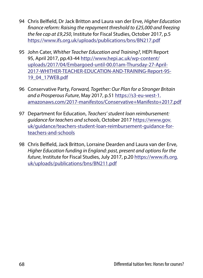- 94 Chris Belfield, Dr Jack Britton and Laura van der Erve, *Higher Education finance reform: Raising the repayment threshold to £25,000 and freezing the fee cap at £9,250*, Institute for Fiscal Studies, October 2017, p.5 <https://www.ifs.org.uk/uploads/publications/bns/BN217.pdf>
- 95 John Cater, *Whither Teacher Education and Training?*, HEPI Report 95, April 2017, pp.43-44 [http://www.hepi.ac.uk/wp-content/](http://www.hepi.ac.uk/wp-content/uploads/2017/04/Embargoed-until-00.01am-Thursday-27-April-2017-WHITHER-TEACHER-EDUCATION-AND-TRAINING-Report-95-19_04_17WEB.pdf) [uploads/2017/04/Embargoed-until-00.01am-Thursday-27-April-](http://www.hepi.ac.uk/wp-content/uploads/2017/04/Embargoed-until-00.01am-Thursday-27-April-2017-WHITHER-TEACHER-EDUCATION-AND-TRAINING-Report-95-19_04_17WEB.pdf)[2017-WHITHER-TEACHER-EDUCATION-AND-TRAINING-Report-95-](http://www.hepi.ac.uk/wp-content/uploads/2017/04/Embargoed-until-00.01am-Thursday-27-April-2017-WHITHER-TEACHER-EDUCATION-AND-TRAINING-Report-95-19_04_17WEB.pdf) [19\\_04\\_17WEB.pdf](http://www.hepi.ac.uk/wp-content/uploads/2017/04/Embargoed-until-00.01am-Thursday-27-April-2017-WHITHER-TEACHER-EDUCATION-AND-TRAINING-Report-95-19_04_17WEB.pdf)
- 96 Conservative Party, *Forward, Together: Our Plan for a Stronger Britain and a Prosperous Future*, May 2017, p.51 [https://s3-eu-west-1.](https://s3-eu-west-1.amazonaws.com/2017-manifestos/Conservative+Manifesto+2017.pdf) [amazonaws.com/2017-manifestos/Conservative+Manifesto+2017.pdf](https://s3-eu-west-1.amazonaws.com/2017-manifestos/Conservative+Manifesto+2017.pdf)
- 97 Department for Education, *Teachers' student loan reimbursement: guidance for teachers and schools*, October 2017 [https://www.gov.](https://www.gov.uk/guidance/teachers-student-loan-reimbursement-guidance-for-teachers-and-schools) [uk/guidance/teachers-student-loan-reimbursement-guidance-for](https://www.gov.uk/guidance/teachers-student-loan-reimbursement-guidance-for-teachers-and-schools)[teachers-and-schools](https://www.gov.uk/guidance/teachers-student-loan-reimbursement-guidance-for-teachers-and-schools)
- 98 Chris Belfield, Jack Britton, Lorraine Dearden and Laura van der Erve, *Higher Education funding in England: past, present and options for the future*, Institute for Fiscal Studies, July 2017, p.20 [https://www.ifs.org.](https://www.ifs.org.uk/uploads/publications/bns/BN211.pdf) [uk/uploads/publications/bns/BN211.pdf](https://www.ifs.org.uk/uploads/publications/bns/BN211.pdf)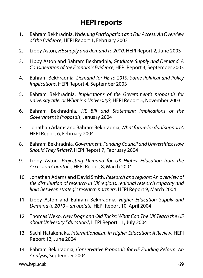## **HEPI reports**

- 1. Bahram Bekhradnia, *Widening Participation and Fair Access: An Overview of the Evidence*, HEPI Report 1, February 2003
- 2. Libby Aston, *HE supply and demand to 2010*, HEPI Report 2, June 2003
- 3. Libby Aston and Bahram Bekhradnia, *Graduate Supply and Demand: A Consideration of the Economic Evidence*, HEPI Report 3, September 2003
- 4. Bahram Bekhradnia, *Demand for HE to 2010: Some Political and Policy Implications*, HEPI Report 4, September 2003
- 5. Bahram Bekhradnia, *Implications of the Government's proposals for university title: or What is a University?*, HEPI Report 5, November 2003
- 6. Bahram Bekhradnia, *HE Bill and Statement: Implications of the Government's Proposals*, January 2004
- 7. Jonathan Adams and Bahram Bekhradnia, *What future for dual support?*, HEPI Report 6, February 2004
- 8. Bahram Bekhradnia, *Government, Funding Council and Universities: How Should They Relate?*, HEPI Report 7, February 2004
- 9. Libby Aston, *Projecting Demand for UK Higher Education from the Accession Countries*, HEPI Report 8, March 2004
- 10. Jonathan Adams and David Smith, *Research and regions: An overview of the distribution of research in UK regions, regional research capacity and links between strategic research partners*, HEPI Report 9, March 2004
- 11. Libby Aston and Bahram Bekhradnia, *Higher Education Supply and Demand to 2010 – an update*, HEPI Report 10, April 2004
- 12. Thomas Weko, *New Dogs and Old Tricks: What Can The UK Teach the US about University Education?*, HEPI Report 11, July 2004
- 13. Sachi Hatakenaka, *Internationalism in Higher Education: A Review*, HEPI Report 12, June 2004
- 14. Bahram Bekhradnia, *Conservative Proposals for HE Funding Reform: An Analysis*, September 2004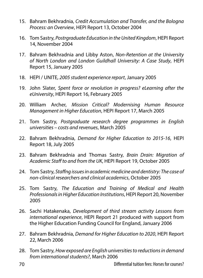- 15. Bahram Bekhradnia, *Credit Accumulation and Transfer, and the Bologna Process: an Overview*, HEPI Report 13, October 2004
- 16. Tom Sastry, *Postrgraduate Education in the United Kingdom*, HEPI Report 14, November 2004
- 17. Bahram Bekhradnia and Libby Aston, *Non-Retention at the University of North London and London Guildhall University: A Case Study*, HEPI Report 15, January 2005
- 18. HEPI / UNITE, *2005 student experience report*, January 2005
- 19. John Slater, *Spent force or revolution in progress? eLearning after the eUniversity*, HEPI Report 16, February 2005
- 20. William Archer, *Mission Critical? Modernising Human Resource Management in Higher Education*, HEPI Report 17, March 2005
- 21. Tom Sastry, *Postgraduate research degree programmes in English universities – costs and revenues*, March 2005
- 22. Bahram Bekhradnia, *Demand for Higher Education to 2015-16*, HEPI Report 18, July 2005
- 23. Bahram Bekhradnia and Thomas Sastry, *Brain Drain: Migration of Academic Staff to and from the UK*, HEPI Report 19, October 2005
- 24. Tom Sastry, *Staffng issues in academic medicine and dentistry: The case of non-clinical researchers and clinical academics*, October 2005
- 25. Tom Sastry, *The Education and Training of Medical and Health Professionals in Higher Education Institutions*, HEPI Report 20, November 2005
- 26. Sachi Hatakenaka, *Development of third stream activity Lessons from international experience*, HEPI Report 21 produced with support from the Higher Education Funding Council for England, January 2006
- 27. Bahram Bekhradnia, *Demand for Higher Education to 2020*, HEPI Report 22, March 2006
- 28. Tom Sastry, *How exposed are English universities to reductions in demand from international students?*, March 2006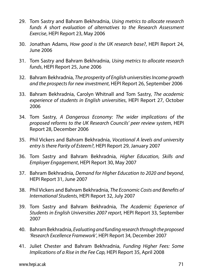- 29. Tom Sastry and Bahram Bekhradnia, *Using metrics to allocate research*  funds A short evaluation of alternatives to the Research Assessment *Exercise*, HEPI Report 23, May 2006
- 30. Jonathan Adams, *How good is the UK research base?*, HEPI Report 24, June 2006
- 31. Tom Sastry and Bahram Bekhradnia, *Using metrics to allocate research funds*, HEPI Report 25, June 2006
- 32. Bahram Bekhradnia, *The prosperity of English universities Income growth and the prospects for new investment*, HEPI Report 26, September 2006
- 33. Bahram Bekhradnia, Carolyn Whitnall and Tom Sastry, *The academic experience of students in English universities*, HEPI Report 27, October 2006
- 34. Tom Sastry, *A Dangerous Economy: The wider implications of the proposed reforms to the UK Research Councils' peer review system*, HEPI Report 28, December 2006
- 35. Phil Vickers and Bahram Bekhradnia, *Vocational A levels and university entry Is there Parity of Esteem?*, HEPI Report 29, January 2007
- 36. Tom Sastry and Bahram Bekhradnia, *Higher Education, Skills and Employer Engagement*, HEPI Report 30, May 2007
- 37. Bahram Bekhradnia, *Demand for Higher Education to 2020 and beyond*, HEPI Report 31, June 2007
- 38. Phil Vickers and Bahram Bekhradnia, *The Economic Costs and Benefits of International Students*, HEPI Report 32, July 2007
- 39. Tom Sastry and Bahram Bekhradnia, *The Academic Experience of Students in English Universities 2007 report*, HEPI Report 33, September 2007
- 40. Bahram Bekhradnia, *Evaluating and funding research through the proposed 'Research Excellence Framework'*, HEPI Report 34, December 2007
- 41. Juliet Chester and Bahram Bekhradnia, *Funding Higher Fees: Some Implications of a Rise in the Fee Cap,* HEPI Report 35, April 2008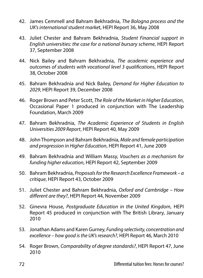- 42. James Cemmell and Bahram Bekhradnia, *The Bologna process and the UK's international student marke*t, HEPI Report 36, May 2008
- 43. Juliet Chester and Bahram Bekhradnia, *Student Financial support in English universities: the case for a national bursary scheme*, HEPI Report 37, September 2008
- 44. Nick Bailey and Bahram Bekhradnia, *The academic experience and outcomes of students with vocational level 3 qualifications*, HEPI Report 38, October 2008
- 45. Bahram Bekhradnia and Nick Bailey, *Demand for Higher Education to 2029*, HEPI Report 39, December 2008
- 46. Roger Brown and Peter Scott, *The Role of the Market in Higher Education*, Occasional Paper 1 produced in conjunction with The Leadership Foundation, March 2009
- 47. Bahram Bekhradnia, *The Academic Experience of Students in English Universities 2009 Report*, HEPI Report 40, May 2009
- 48. John Thompson and Bahram Bekhradnia, *Male and female participation and progression in Higher Education*, HEPI Report 41, June 2009
- 49. Bahram Bekhradnia and William Massy, *Vouchers as a mechanism for funding higher education*, HEPI Report 42, September 2009
- 50. Bahram Bekhradnia, *Proposals for the Research Excellence Framework a critique*, HEPI Report 43, October 2009
- 51. Juliet Chester and Bahram Bekhradnia, *Oxford and Cambridge How different are they?*, HEPI Report 44, November 2009
- 52. Ginevra House, *Postgraduate Education in the United Kingdom*, HEPI Report 45 produced in conjunction with The British Library, January 2010
- 53. Jonathan Adams and Karen Gurney, *Funding selectivity, concentration and excellence – how good is the UK's research?*, HEPI Report 46, March 2010
- 54. Roger Brown, *Comparability of degree standards?*, HEPI Report 47, June 2010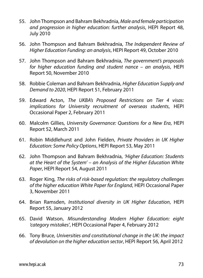- 55. John Thompson and Bahram Bekhradnia, *Male and female participation and progression in higher education: further analysis*, HEPI Report 48, July 2010
- 56. John Thompson and Bahram Bekhradnia, *The Independent Review of Higher Education Funding: an analysis*, HEPI Report 49, October 2010
- 57. John Thompson and Bahram Bekhradnia, *The government's proposals for higher education funding and student nance – an analysis*, HEPI Report 50, November 2010
- 58. Robbie Coleman and Bahram Bekhradnia, *Higher Education Supply and Demand to 2020*, HEPI Report 51, February 2011
- 59. Edward Acton, *The UKBA's Proposed Restrictions on Tier 4 visas: implications for University recruitment of overseas students*, HEPI Occasional Paper 2, February 2011
- 60. Malcolm Gillies, *University Governance: Questions for a New Era*, HEPI Report 52, March 2011
- 61. Robin Middlehurst and John Fielden, *Private Providers in UK Higher Education: Some Policy Options*, HEPI Report 53, May 2011
- 62. John Thompson and Bahram Bekhradnia, *'Higher Education: Students at the Heart of the System' – an Analysis of the Higher Education White Paper*, HEPI Report 54, August 2011
- 63. Roger King, *The risks of risk-based regulation: the regulatory challenges of the higher education White Paper for England*, HEPI Occasional Paper 3, November 2011
- 64. Brian Ramsden, *Institutional diversity in UK Higher Education*, HEPI Report 55, January 2012
- 65. David Watson, *Misunderstanding Modern Higher Education: eight 'category mistakes'*, HEPI Occasional Paper 4, February 2012
- 66. Tony Bruce, *Universities and constitutional change in the UK: the impact of devolution on the higher education sector*, HEPI Report 56, April 2012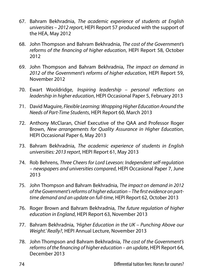- 67. Bahram Bekhradnia, *The academic experience of students at English universities – 2012 report*, HEPI Report 57 produced with the support of the HEA, May 2012
- 68. John Thompson and Bahram Bekhradnia, *The cost of the Government's reforms of the financing of higher education*, HEPI Report 58, October 2012
- 69. John Thompson and Bahram Bekhradnia, *The impact on demand in 2012 of the Government's reforms of higher education*, HEPI Report 59, November 2012
- 70. Ewart Wooldridge, *Inspiring leadership personal reflections on leadership in higher education*, HEPI Occasional Paper 5, February 2013
- 71. David Maguire, *Flexible Learning: Wrapping Higher Education Around the Needs of Part-Time Students*, HEPI Report 60, March 2013
- 72. Anthony McClaran, Chief Executive of the OAA and Professor Roger Brown, *New arrangements for Quality Assurance in Higher Education*, HEPI Occasional Paper 6, May 2013
- 73. Bahram Bekhradnia, *The academic experience of students in English universities: 2013 report*, HEPI Report 61, May 2013
- 74. Rob Behrens, *Three Cheers for Lord Leveson: Independent self-regulation – newspapers and universities compared*, HEPI Occasional Paper 7, June 2013
- 75. John Thompson and Bahram Bekhradnia, *The impact on demand in 2012 of the Government's reforms of higher education – The first evidence on parttime demand and an update on full-time*, HEPI Report 62, October 2013
- 76. Roger Brown and Bahram Bekhradnia, *The future regulation of higher education in England*, HEPI Report 63, November 2013
- 77. Bahram Bekhradnia, *'Higher Education in the UK Punching Above our Weight.' Really?*, HEPI Annual Lecture, November 2013
- 78. John Thompson and Bahram Bekhradnia, *The cost of the Government's reforms of the financing of higher education – an update*, HEPI Report 64, December 2013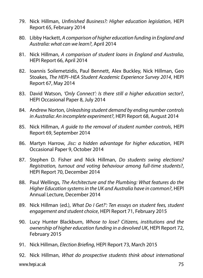- 79. Nick Hillman, *Unfinished Business?: Higher education legislation*, HEPI Report 65, February 2014
- 80. Libby Hackett, *A comparison of higher education funding in England and Australia: what can we learn?*, April 2014
- 81. Nick Hillman, *A comparison of student loans in England and Australia*, HEPI Report 66, April 2014
- 82. Ioannis Soilemetzidis, Paul Bennett, Alex Buckley, Nick Hillman, Geo Stoakes, *The HEPI–HEA Student Academic Experience Survey 2014*, HEPI Report 67, May 2014
- 83. David Watson, *'Only Connect': Is there still a higher education sector?*, HEPI Occasional Paper 8, July 2014
- 84. Andrew Norton, *Unleashing student demand by ending number controls in Australia: An incomplete experiment?*, HEPI Report 68, August 2014
- 85. Nick Hillman, *A guide to the removal of student number controls*, HEPI Report 69, September 2014
- 86. Martyn Harrow, *Jisc: a hidden advantage for higher education*, HEPI Occasional Paper 9, October 2014
- 87. Stephen D. Fisher and Nick Hillman, *Do students swing elections? Registration, turnout and voting behaviour among full-time students?*, HEPI Report 70, December 2014
- 88. Paul Wellings, *The Architecture and the Plumbing: What features do the Higher Education systems in the UK and Australia have in common?*, HEPI Annual Lecture, December 2014
- 89. Nick Hillman (ed.), *What Do I Get?': Ten essays on student fees, student engagement and student choice*, HEPI Report 71, February 2015
- 90. Lucy Hunter Blackburn, *Whose to lose? Citizens, institutions and the ownership of higher education funding in a devolved UK*, HEPI Report 72, February 2015
- 91. Nick Hillman, *Election Briefing*, HEPI Report 73, March 2015
- www.hepi.ac.uk 75 92. Nick Hillman, *What do prospective students think about international*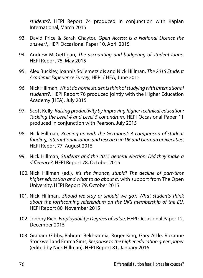*students?*, HEPI Report 74 produced in conjunction with Kaplan International, March 2015

- 93. David Price & Sarah Chaytor, *Open Access: Is a National Licence the answer?*, HEPI Occasional Paper 10, April 2015
- 94. Andrew McGettigan, *The accounting and budgeting of student loans*, HEPI Report 75, May 2015
- 95. Alex Buckley, Ioannis Soilemetzidis and Nick Hillman, *The 2015 Student Academic Experience Survey*, HEPI / HEA, June 2015
- 96. Nick Hillman, *What do home students think of studying with international students?*, HEPI Report 76 produced jointly with the Higher Education Academy (HEA), July 2015
- 97. Scott Kelly, *Raising productivity by improving higher technical education: Tackling the Level 4 and Level 5 conundrum*, HEPI Occasional Paper 11 produced in conjunction with Pearson, July 2015
- 98. Nick Hillman, *Keeping up with the Germans?: A comparison of student funding, internationalisation and research in UK and German universities*, HEPI Report 77, August 2015
- 99. Nick Hillman, *Students and the 2015 general election: Did they make a difference?*, HEPI Report 78, October 2015
- 100. Nick Hillman (ed.), *It's the finance, stupid! The decline of part-time higher education and what to do about it*, with support from The Open University, HEPI Report 79, October 2015
- 101. Nick Hillman, *Should we stay or should we go?: What students think about the forthcoming referendum on the UK's membership of the EU*, HEPI Report 80, November 2015
- 102. Johnny Rich, *Employability: Degrees of value*, HEPI Occasional Paper 12, December 2015
- 103. Graham Gibbs, Bahram Bekhradnia, Roger King, Gary Attle, Roxanne Stockwell and Emma Sims, *Response to the higher education green paper* (edited by Nick Hillman), HEPI Report 81, January 2016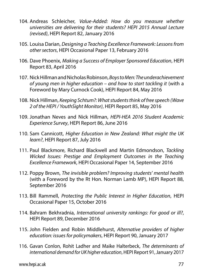- 104. Andreas Schleicher, *Value-Added: How do you measure whether universities are delivering for their students? HEPI 2015 Annual Lecture (revised)*, HEPI Report 82, January 2016
- 105. Louisa Darian, *Designing a Teaching Excellence Framework: Lessons from other sectors*, HEPI Occasional Paper 13, February 2016
- 106. Dave Phoenix, *Making a Success of Employer Sponsored Education*, HEPI Report 83, April 2016
- 107. Nick Hillman and Nicholas Robinson, *Boys to Men: The underachievement of young men in higher education – and how to start tackling it* (with a Foreword by Mary Curnock Cook), HEPI Report 84, May 2016
- 108. Nick Hillman, *Keeping Schtum?: What students think of free speech (Wave 2 of the HEPI / YouthSight Monitor)*, HEPI Report 85, May 2016
- 109. Jonathan Neves and Nick Hillman, *HEPI-HEA 2016 Student Academic Experience Survey*, HEPI Report 86, June 2016
- 110. Sam Cannicott, *Higher Education in New Zealand: What might the UK learn?*, HEPI Report 87, July 2016
- 111. Paul Blackmore, Richard Blackwell and Martin Edmondson, *Tackling Wicked Issues: Prestige and Employment Outcomes in the Teaching Excellence Framework*, HEPI Occasional Paper 14, September 2016
- 112. Poppy Brown, *The invisible problem? Improving students' mental health* (with a Foreword by the Rt Hon. Norman Lamb MP), HEPI Report 88, September 2016
- 113. Bill Rammell, *Protecting the Public Interest in Higher Education*, HEPI Occasional Paper 15, October 2016
- 114. Bahram Bekhradnia, *International university rankings: For good or ill?*, HEPI Report 89, December 2016
- 115. John Fielden and Robin Middlehurst, *Alternative providers of higher education: issues for policymakers*, HEPI Report 90, January 2017
- 116. Gavan Conlon, Rohit Ladher and Maike Halterbeck, *The determinants of international demand for UK higher education*, HEPI Report 91, January 2017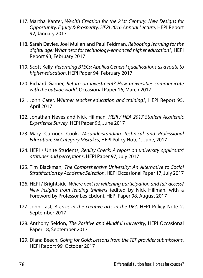- 117. Martha Kanter, *Wealth Creation for the 21st Century: New Designs for Opportunity, Equity & Prosperity: HEPI 2016 Annual Lecture*, HEPI Report 92, January 2017
- 118. Sarah Davies, Joel Mullan and Paul Feldman, *Rebooting learning for the digital age: What next for technology-enhanced higher education?*, HEPI Report 93, February 2017
- 119. Scott Kelly, *Reforming BTECs: Applied General qualifications as a route to higher education*, HEPI Paper 94, February 2017
- 120. Richard Garner, *Return on investment? How universities communicate with the outside world*, Occasional Paper 16, March 2017
- 121. John Cater, *Whither teacher education and training?*, HEPI Report 95, April 2017
- 122. Jonathan Neves and Nick Hillman, *HEPI / HEA 2017 Student Academic Experience Survey*, HEPI Paper 96, June 2017
- 123. Mary Curnock Cook, *Misunderstanding Technical and Professional Education: Six Category Mistakes*, HEPI Policy Note 1, June, 2017
- 124. HEPI / Unite Students, *Reality Check: A report on university applicants' attitudes and perceptions*, HEPI Paper 97, July 2017
- 125. Tim Blackman, *The Comprehensive University: An Alternative to Social Stratification by Academic Selection*, HEPI Occasional Paper 17, July 2017
- 126. HEPI / Brightside, *Where next for widening participation and fair access? New insights from leading thinkers* (edited by Nick Hillman, with a Foreword by Professor Les Ebdon), HEPI Paper 98, August 2017
- 127. John Last, *A crisis in the creative arts in the UK?*, HEPI Policy Note 2, September 2017
- 128. Anthony Seldon, *The Positive and Mindful University*, HEPI Occasional Paper 18, September 2017
- 129. Diana Beech, *Going for Gold: Lessons from the TEF provider submissions*, HEPI Report 99, October 2017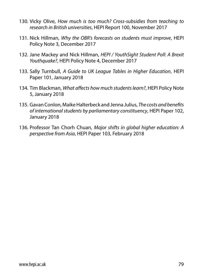- 130. Vicky Olive, *How much is too much? Cross-subsidies from teaching to research in British universities*, HEPI Report 100, November 2017
- 131. Nick Hillman, *Why the OBR's forecasts on students must improve*, HEPI Policy Note 3, December 2017
- 132. Jane Mackey and Nick Hillman, *HEPI / YouthSight Student Poll: A Brexit Youthquake?*, HEPI Policy Note 4, December 2017
- 133. Sally Turnbull, *A Guide to UK League Tables in Higher Education*, HEPI Paper 101, January 2018
- 134. Tim Blackman, *What affects how much students learn?*, HEPI Policy Note 5, January 2018
- 135. Gavan Conlon, Maike Halterbeck and Jenna Julius, *The costs and benefits of international students by parliamentary constituency*, HEPI Paper 102, January 2018
- 136. Professor Tan Chorh Chuan, *Major shifts in global higher education: A perspective from Asia*, HEPI Paper 103, February 2018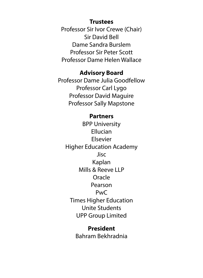## **Trustees**

Professor Sir Ivor Crewe (Chair) Sir David Bell Dame Sandra Burslem Professor Sir Peter Scott Professor Dame Helen Wallace

## **Advisory Board**

Professor Dame Julia Goodfellow Professor Carl Lygo Professor David Maguire Professor Sally Mapstone

## **Partners**

BPP University Ellucian Elsevier Higher Education Academy Jisc Kaplan Mills & Reeve LLP Oracle Pearson PwC Times Higher Education Unite Students UPP Group Limited

## **President** Bahram Bekhradnia